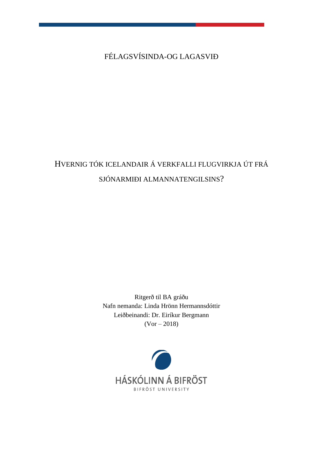FÉLAGSVÍSINDA-OG LAGASVIÐ

# HVERNIG TÓK ICELANDAIR Á VERKFALLI FLUGVIRKJA ÚT FRÁ SJÓNARMIÐI ALMANNATENGILSINS?

Ritgerð til BA gráðu Nafn nemanda: Linda Hrönn Hermannsdóttir Leiðbeinandi: Dr. Eiríkur Bergmann  $(Var - 2018)$ 

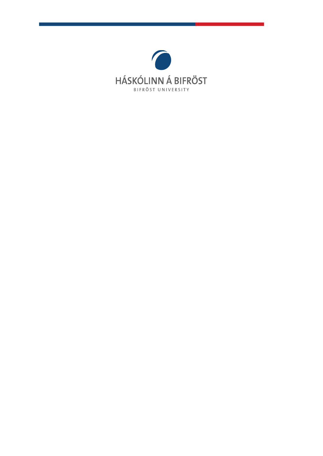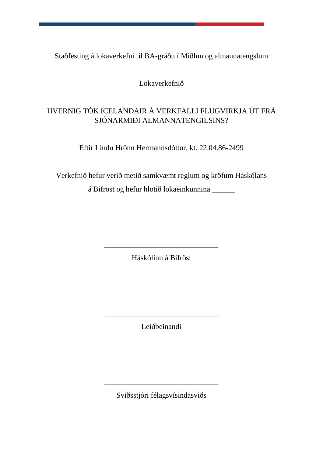Staðfesting á lokaverkefni til BA-gráðu í Miðlun og almannatengslum

Lokaverkefnið

# HVERNIG TÓK ICELANDAIR Á VERKFALLI FLUGVIRKJA ÚT FRÁ SJÓNARMIÐI ALMANNATENGILSINS?

Eftir Lindu Hrönn Hermannsdóttur, kt. 22.04.86-2499

Verkefnið hefur verið metið samkvæmt reglum og kröfum Háskólans á Bifröst og hefur hlotið lokaeinkunnina \_\_\_\_\_\_

Háskólinn á Bifröst

\_\_\_\_\_\_\_\_\_\_\_\_\_\_\_\_\_\_\_\_\_\_\_\_\_\_\_\_\_\_

Leiðbeinandi

\_\_\_\_\_\_\_\_\_\_\_\_\_\_\_\_\_\_\_\_\_\_\_\_\_\_\_\_\_\_

Sviðsstjóri félagsvísindasviðs

\_\_\_\_\_\_\_\_\_\_\_\_\_\_\_\_\_\_\_\_\_\_\_\_\_\_\_\_\_\_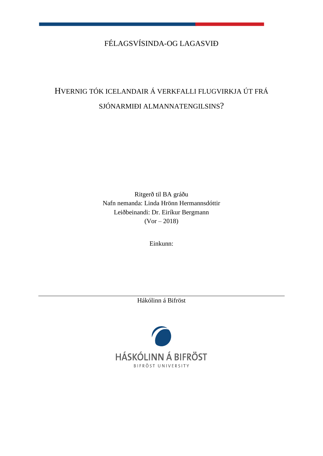# FÉLAGSVÍSINDA-OG LAGASVIÐ

# HVERNIG TÓK ICELANDAIR Á VERKFALLI FLUGVIRKJA ÚT FRÁ SJÓNARMIÐI ALMANNATENGILSINS?

Ritgerð til BA gráðu Nafn nemanda: Linda Hrönn Hermannsdóttir Leiðbeinandi: Dr. Eiríkur Bergmann (Vor – 2018)

Einkunn:

Hákólinn á Bifröst

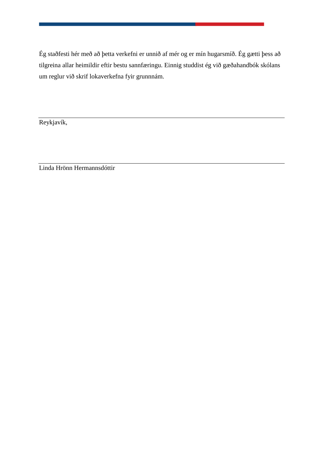Ég staðfesti hér með að þetta verkefni er unnið af mér og er mín hugarsmíð. Ég gætti þess að tilgreina allar heimildir eftir bestu sannfæringu. Einnig studdist ég við gæðahandbók skólans um reglur við skrif lokaverkefna fyir grunnnám.

Reykjavík,

Linda Hrönn Hermannsdóttir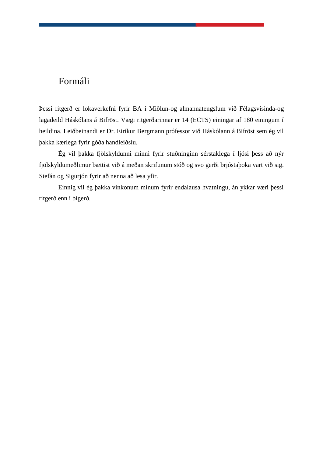# <span id="page-5-0"></span>Formáli

Þessi ritgerð er lokaverkefni fyrir BA í Miðlun-og almannatengslum við Félagsvísinda-og lagadeild Háskólans á Bifröst. Vægi ritgerðarinnar er 14 (ECTS) einingar af 180 einingum í heildina. Leiðbeinandi er Dr. Eiríkur Bergmann prófessor við Háskólann á Bifröst sem ég vil þakka kærlega fyrir góða handleiðslu.

Ég vil þakka fjölskyldunni minni fyrir stuðninginn sérstaklega í ljósi þess að nýr fjölskyldumeðlimur bættist við á meðan skrifunum stóð og svo gerði brjóstaþoka vart við sig. Stefán og Sigurjón fyrir að nenna að lesa yfir.

Einnig vil ég þakka vinkonum mínum fyrir endalausa hvatningu, án ykkar væri þessi ritgerð enn í bígerð.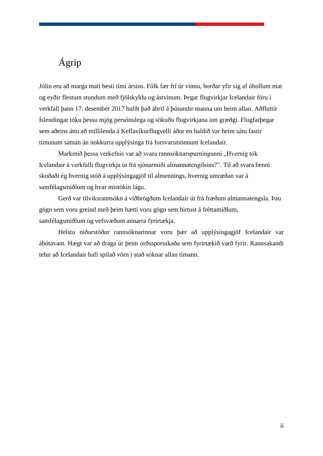# <span id="page-6-0"></span>Ágrip

Jólin eru að marga mati besti tími ársins. Fólk fær frí úr vinnu, borðar yfir sig af óhollum mat og eyðir flestum stundum með fjölskyldu og ástvinum. Þegar flugvirkjar Icelandair fóru í verkfall þann 17. desember 2017 hafði það áhrif á þúsundir manna um heim allan. Aðfluttir Íslendingar tóku þessu mjög persónulega og sökuðu flugvirkjana um græðgi. Flugfarþegar sem aðeins áttu að millilenda á Keflavíkurflugvelli áður en haldið var heim sátu fastir tímunum saman án nokkurra upplýsinga frá forsvarsmönnum Icelandair.

Markmið þessa verkefnis var að svara rannsóknarspurningunni "Hvernig tók Icelandair á verkfalli flugvirkja út frá sjónarmiði almannatengilsins?". Til að svara henni skoðaði ég hvernig stóð á upplýsingagjöf til almennings, hvernig umræðan var á samfélagsmiðlum og hvar mistökin lágu.

Gerð var tilviksrannsókn á viðbrögðum Icelandair út frá fræðum almannatengsla. Þau gögn sem voru greind með þeim hætti voru gögn sem birtust á fréttamiðlum, samfélagsmiðlum og vefsvæðum annarra fyrirtækja.

Helstu niðurstöður rannsóknarinnar voru þær að upplýsingagjöf Icelandair var ábótavant. Hægt var að draga úr þeim orðssporsskaða sem fyrirtækið varð fyrir. Rannsakandi telur að Icelandair hafi spilað vörn í stað sóknar allan tímann.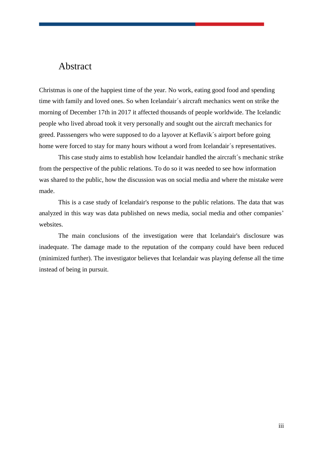# <span id="page-7-0"></span>Abstract

Christmas is one of the happiest time of the year. No work, eating good food and spending time with family and loved ones. So when Icelandair´s aircraft mechanics went on strike the morning of December 17th in 2017 it affected thousands of people worldwide. The Icelandic people who lived abroad took it very personally and sought out the aircraft mechanics for greed. Passsengers who were supposed to do a layover at Keflavik´s airport before going home were forced to stay for many hours without a word from Icelandair´s representatives.

This case study aims to establish how Icelandair handled the aircraft´s mechanic strike from the perspective of the public relations. To do so it was needed to see how information was shared to the public, how the discussion was on social media and where the mistake were made.

This is a case study of Icelandair's response to the public relations. The data that was analyzed in this way was data published on news media, social media and other companies' websites.

The main conclusions of the investigation were that Icelandair's disclosure was inadequate. The damage made to the reputation of the company could have been reduced (minimized further). The investigator believes that Icelandair was playing defense all the time instead of being in pursuit.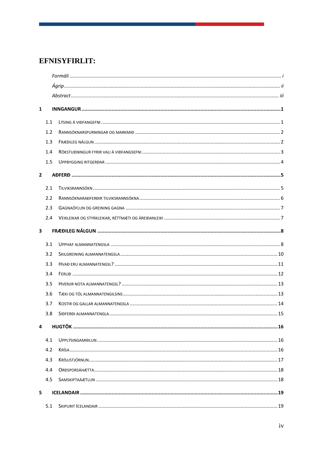# EFNISYFIRLIT:

| $\mathbf{1}$ |     |  |  |  |
|--------------|-----|--|--|--|
|              | 1.1 |  |  |  |
|              | 1.2 |  |  |  |
|              | 1.3 |  |  |  |
|              | 1.4 |  |  |  |
|              | 1.5 |  |  |  |
| $\mathbf{2}$ |     |  |  |  |
|              | 2.1 |  |  |  |
|              | 2.2 |  |  |  |
|              | 2.3 |  |  |  |
|              | 2.4 |  |  |  |
| 3            |     |  |  |  |
|              | 3.1 |  |  |  |
|              | 3.2 |  |  |  |
|              | 3.3 |  |  |  |
|              | 3.4 |  |  |  |
|              | 3.5 |  |  |  |
|              | 3.6 |  |  |  |
|              | 3.7 |  |  |  |
|              | 3.8 |  |  |  |
| 4            |     |  |  |  |
|              | 4.1 |  |  |  |
|              | 4.2 |  |  |  |
|              | 4.3 |  |  |  |
|              | 4.4 |  |  |  |
|              | 4.5 |  |  |  |
| 5            |     |  |  |  |
|              | 5.1 |  |  |  |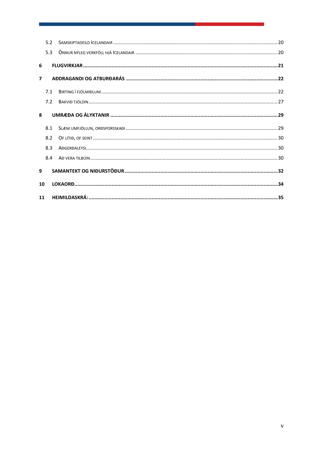|                | 5.2 |  |  |
|----------------|-----|--|--|
|                | 5.3 |  |  |
| 6              |     |  |  |
| $\overline{7}$ |     |  |  |
|                | 7.1 |  |  |
|                | 7.2 |  |  |
| $\mathbf{R}$   |     |  |  |
|                | 8.1 |  |  |
|                | 8.2 |  |  |
|                | 8.3 |  |  |
|                | 8.4 |  |  |
| 9              |     |  |  |
| 10             |     |  |  |
| 11             |     |  |  |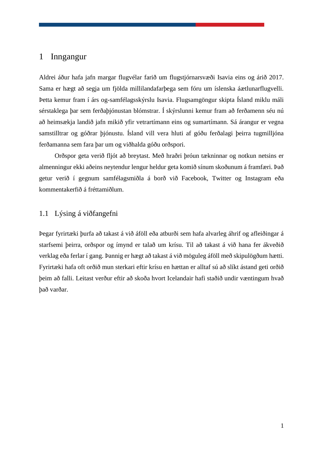# <span id="page-10-0"></span>1 Inngangur

Aldrei áður hafa jafn margar flugvélar farið um flugstjórnarsvæði Isavia eins og árið 2017. Sama er hægt að segja um fjölda millilandafarþega sem fóru um íslenska áætlunarflugvelli. Þetta kemur fram í árs og-samfélagsskýrslu Isavia. Flugsamgöngur skipta Ísland miklu máli sérstaklega þar sem ferðaþjónustan blómstrar. Í skýrslunni kemur fram að ferðamenn séu nú að heimsækja landið jafn mikið yfir vetrartímann eins og sumartímann. Sá árangur er vegna samstilltrar og góðrar þjónustu. Ísland vill vera hluti af góðu ferðalagi þeirra tugmilljóna ferðamanna sem fara þar um og viðhalda góðu orðspori.

Orðspor geta verið fljót að breytast. Með hraðri þróun tækninnar og notkun netsins er almenningur ekki aðeins neytendur lengur heldur geta komið sínum skoðunum á framfæri. Það getur verið í gegnum samfélagsmiðla á borð við Facebook, Twitter og Instagram eða kommentakerfið á fréttamiðlum.

## <span id="page-10-1"></span>1.1 Lýsing á viðfangefni

Þegar fyrirtæki þurfa að takast á við áföll eða atburði sem hafa alvarleg áhrif og afleiðingar á starfsemi þeirra, orðspor og ímynd er talað um krísu. Til að takast á við hana fer ákveðið verklag eða ferlar í gang. Þannig er hægt að takast á við möguleg áföll með skipulögðum hætti. Fyrirtæki hafa oft orðið mun sterkari eftir krísu en hættan er alltaf sú að slíkt ástand geti orðið þeim að falli. Leitast verður eftir að skoða hvort Icelandair hafi staðið undir væntingum hvað það varðar.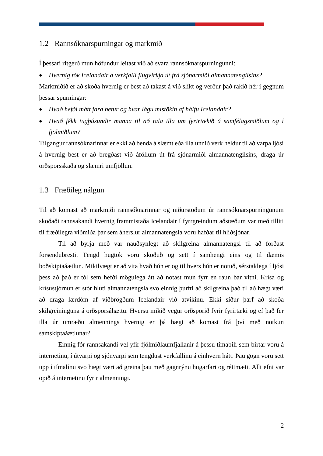### <span id="page-11-0"></span>1.2 Rannsóknarspurningar og markmið

Í þessari ritgerð mun höfundur leitast við að svara rannsóknarspurningunni:

• *Hvernig tók Icelandair á verkfalli flugvirkja út frá sjónarmiði almannatengilsins?* Markmiðið er að skoða hvernig er best að takast á við slíkt og verður það rakið hér í gegnum þessar spurningar:

- *Hvað hefði mátt fara betur og hvar lágu mistökin af hálfu Icelandair?*
- *Hvað fékk tugþúsundir manna til að tala illa um fyrirtækið á samfélagsmiðlum og í fjölmiðlum?*

Tilgangur rannsóknarinnar er ekki að benda á slæmt eða illa unnið verk heldur til að varpa ljósi á hvernig best er að bregðast við áföllum út frá sjónarmiði almannatengilsins, draga úr orðsporsskaða og slæmri umfjöllun.

## <span id="page-11-1"></span>1.3 Fræðileg nálgun

Til að komast að markmiði rannsóknarinnar og niðurstöðum úr rannsóknarspurningunum skoðaði rannsakandi hvernig frammistaða Icelandair í fyrrgreindum aðstæðum var með tilliti til fræðilegra viðmiða þar sem áherslur almannatengsla voru hafðar til hliðsjónar.

Til að byrja með var nauðsynlegt að skilgreina almannatengsl til að forðast forsendubresti. Tengd hugtök voru skoðuð og sett í samhengi eins og til dæmis boðskiptaáætlun. Mikilvægt er að vita hvað hún er og til hvers hún er notuð, sérstaklega í ljósi þess að það er tól sem hefði mögulega átt að notast mun fyrr en raun bar vitni. Krísa og krísustjórnun er stór hluti almannatengsla svo einnig þurfti að skilgreina það til að hægt væri að draga lærdóm af viðbrögðum Icelandair við atvikinu. Ekki síður þarf að skoða skilgreininguna á orðsporsáhættu. Hversu mikið vegur orðsporið fyrir fyrirtæki og ef það fer illa úr umræðu almennings hvernig er þá hægt að komast frá því með notkun samskiptaáætlunar?

Einnig fór rannsakandi vel yfir fjölmiðlaumfjallanir á þessu tímabili sem birtar voru á internetinu, í útvarpi og sjónvarpi sem tengdust verkfallinu á einhvern hátt. Þau gögn voru sett upp í tímalínu svo hægt væri að greina þau með gagnrýnu hugarfari og réttmæti. Allt efni var opið á internetinu fyrir almenningi.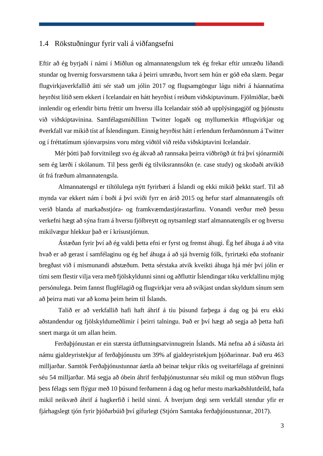## <span id="page-12-0"></span>1.4 Rökstuðningur fyrir vali á viðfangsefni

Eftir að ég byrjaði í námi í Miðlun og almannatengslum tek ég frekar eftir umræðu líðandi stundar og hvernig forsvarsmenn taka á þeirri umræðu, hvort sem hún er góð eða slæm. Þegar flugvirkjaverkfallið átti sér stað um jólin 2017 og flugsamgöngur lágu niðri á háannatíma heyrðist lítið sem ekkert í Icelandair en hátt heyrðist í reiðum viðskiptavinum. Fjölmiðlar, bæði innlendir og erlendir birtu fréttir um hversu illa Icelandair stóð að upplýsingagjöf og þjónustu við viðskiptavinina. Samfélagsmiðillinn Twitter logaði og myllumerkin #flugvirkjar og #verkfall var mikið tíst af Íslendingum. Einnig heyrðist hátt í erlendum ferðamönnum á Twitter og í fréttatímum sjónvarpsins voru mörg viðtöl við reiða viðskiptavini Icelandair.

Mér þótti það forvitnilegt svo ég ákvað að rannsaka þeirra viðbrögð út frá því sjónarmiði sem ég lærði í skólanum. Til þess gerði ég tilviksrannsókn (e. case study) og skoðaði atvikið út frá fræðum almannatengsla.

Almannatengsl er tiltölulega nýtt fyrirbæri á Íslandi og ekki mikið þekkt starf. Til að mynda var ekkert nám í boði á því sviði fyrr en árið 2015 og hefur starf almannatengils oft verið blanda af markaðsstjóra- og framkvæmdastjórastarfinu. Vonandi verður með þessu verkefni hægt að sýna fram á hversu fjölbreytt og nytsamlegt starf almannatengils er og hversu mikilvægur hlekkur það er í krísustjórnun.

Ástæðan fyrir því að ég valdi þetta efni er fyrst og fremst áhugi. Ég hef áhuga á að vita hvað er að gerast í samfélaginu og ég hef áhuga á að sjá hvernig fólk, fyrirtæki eða stofnanir bregðast við í mismunandi aðstæðum. Þetta sérstaka atvik kveikti áhuga hjá mér því jólin er tími sem flestir vilja vera með fjölskyldunni sinni og aðfluttir Íslendingar tóku verkfallinu mjög persónulega. Þeim fannst flugfélagið og flugvirkjar vera að svíkjast undan skyldum sínum sem að þeirra mati var að koma þeim heim til Íslands.

Talið er að verkfallið hafi haft áhrif á tíu þúsund farþega á dag og þá eru ekki aðstandendur og fjölskyldumeðlimir í þeirri talningu. Það er því hægt að segja að þetta hafi snert marga út um allan heim.

Ferðaþjónustan er ein stærsta útflutningsatvinnugrein Íslands. Má nefna að á síðasta ári námu gjaldeyristekjur af ferðaþjónustu um 39% af gjaldeyristekjum þjóðarinnar. Það eru 463 milljarðar. Samtök Ferðaþjónustunnar áætla að beinar tekjur ríkis og sveitarfélaga af greininni séu 54 milljarðar. Má segja að óbein áhrif ferðaþjónustunnar séu mikil og mun stöðvun flugs þess félags sem flýgur með 10 þúsund ferðamenn á dag og hefur mestu markaðshlutdeild, hafa mikil neikvæð áhrif á hagkerfið í heild sinni. Á hverjum degi sem verkfall stendur yfir er fjárhagslegt tjón fyrir þjóðarbúið því gífurlegt (Stjórn Samtaka ferðaþjónustunnar, 2017).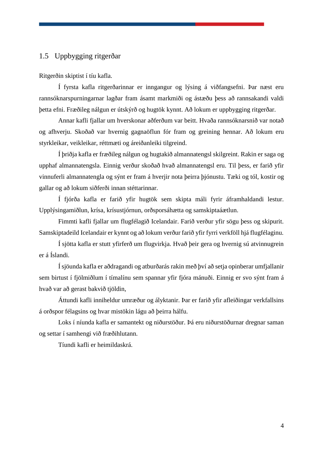# <span id="page-13-0"></span>1.5 Uppbygging ritgerðar

Ritgerðin skiptist í tíu kafla.

Í fyrsta kafla ritgerðarinnar er inngangur og lýsing á viðfangsefni. Þar næst eru rannsóknarspurningarnar lagðar fram ásamt markmiði og ástæðu þess að rannsakandi valdi þetta efni. Fræðileg nálgun er útskýrð og hugtök kynnt. Að lokum er uppbygging ritgerðar.

Annar kafli fjallar um hverskonar aðferðum var beitt. Hvaða rannsóknarsnið var notað og afhverju. Skoðað var hvernig gagnaöflun fór fram og greining hennar. Að lokum eru styrkleikar, veikleikar, réttmæti og áreiðanleiki tilgreind.

Í þriðja kafla er fræðileg nálgun og hugtakið almannatengsl skilgreint. Rakin er saga og upphaf almannatengsla. Einnig verður skoðað hvað almannatengsl eru. Til þess, er farið yfir vinnuferli almannatengla og sýnt er fram á hverjir nota þeirra þjónustu. Tæki og tól, kostir og gallar og að lokum siðferði innan stéttarinnar.

Í fjórða kafla er farið yfir hugtök sem skipta máli fyrir áframhaldandi lestur. Upplýsingamiðlun, krísa, krísustjórnun, orðsporsáhætta og samskiptaáætlun.

Fimmti kafli fjallar um flugfélagið Icelandair. Farið verður yfir sögu þess og skipurit. Samskiptadeild Icelandair er kynnt og að lokum verður farið yfir fyrri verkföll hjá flugfélaginu.

Í sjötta kafla er stutt yfirferð um flugvirkja. Hvað þeir gera og hvernig sú atvinnugrein er á Íslandi.

Í sjöunda kafla er aðdragandi og atburðarás rakin með því að setja opinberar umfjallanir sem birtust í fjölmiðlum í tímalínu sem spannar yfir fjóra mánuði. Einnig er svo sýnt fram á hvað var að gerast bakvið tjöldin,

Áttundi kafli inniheldur umræður og ályktanir. Þar er farið yfir afleiðingar verkfallsins á orðspor félagsins og hvar mistökin lágu að þeirra hálfu.

Loks í níunda kafla er samantekt og niðurstöður. Þá eru niðurstöðurnar dregnar saman og settar í samhengi við fræðihlutann.

Tíundi kafli er heimildaskrá.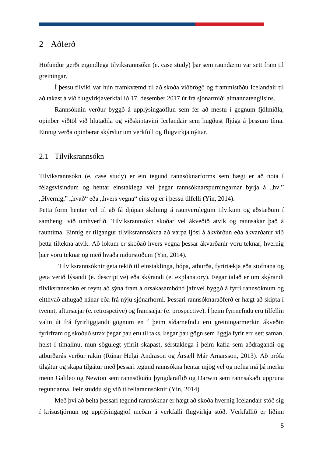## <span id="page-14-0"></span>2 Aðferð

Höfundur gerði eigindlega tilviksrannsókn (e. case study) þar sem raundæmi var sett fram til greiningar.

Í þessu tilviki var hún framkvæmd til að skoða viðbrögð og frammistöðu Icelandair til að takast á við flugvirkjaverkfallið 17. desember 2017 út frá sjónarmiði almannatengilsins.

Rannsóknin verður byggð á upplýsingaöflun sem fer að mestu í gegnum fjölmiðla, opinber viðtöl við hlutaðila og viðskiptavini Icelandair sem hugðust fljúga á þessum tíma. Einnig verða opinberar skýrslur um verkföll og flugvirkja nýttar.

#### <span id="page-14-1"></span>2.1 Tilviksrannsókn

Tilviksrannsókn (e. case study) er ein tegund rannsóknarforms sem hægt er að nota í félagsvísindum og hentar einstaklega vel begar rannsóknarspurningarnar byrja á "hv." "Hvernig," "hvað" eða "hvers vegna" eins og er í þessu tilfelli (Yin, 2014).

Þetta form hentar vel til að fá djúpan skilning á raunverulegum tilvikum og aðstæðum í samhengi við umhverfið. Tilviksrannsókn skoðar vel ákveðið atvik og rannsakar það á rauntíma. Einnig er tilgangur tilviksrannsókna að varpa ljósi á ákvörðun eða ákvarðanir við þetta tiltekna atvik. Að lokum er skoðað hvers vegna þessar ákvarðanir voru teknar, hvernig þær voru teknar og með hvaða niðurstöðum (Yin, 2014).

Tilviksrannsóknir geta tekið til einstaklinga, hópa, atburða, fyrirtækja eða stofnana og geta verið lýsandi (e. descriptive) eða skýrandi (e. explanatory). Þegar talað er um skýrandi tilviksrannsókn er reynt að sýna fram á orsakasambönd jafnvel byggð á fyrri rannsóknum og eitthvað athugað nánar eða frá nýju sjónarhorni. Þessari rannsóknaraðferð er hægt að skipta í tvennt, aftursæjar (e. retrospctive) og framsæjar (e. prospective). Í þeim fyrrnefndu eru tilfellin valin út frá fyrirliggjandi gögnum en í þeim síðarnefndu eru greiningarmerkin ákveðin fyrirfram og skoðuð strax þegar þau eru til taks. Þegar þau gögn sem liggja fyrir eru sett saman, helst í tímalínu, mun sögulegt yfirlit skapast, sérstaklega í þeim kafla sem aðdragandi og atburðarás verður rakin (Rúnar Helgi Andrason og Ársæll Már Arnarsson, 2013). Að prófa tilgátur og skapa tilgátur með þessari tegund rannsókna hentar mjög vel og nefna má þá merku menn Galileo og Newton sem rannsökuðu þyngdaraflið og Darwin sem rannsakaði uppruna tegundanna. Þeir studdu sig við tilfellarannsóknir (Yin, 2014).

Með því að beita þessari tegund rannsóknar er hægt að skoða hvernig Icelandair stóð sig í krísustjórnun og upplýsingagjöf meðan á verkfalli flugvirkja stóð. Verkfallið er liðinn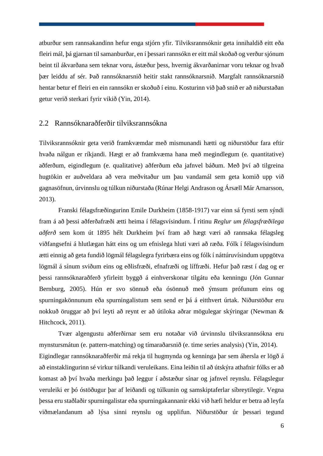atburður sem rannsakandinn hefur enga stjórn yfir. Tilviksrannsóknir geta innihaldið eitt eða fleiri mál, þá gjarnan til samanburðar, en í þessari rannsókn er eitt mál skoðað og verður sjónum beint til ákvarðana sem teknar voru, ástæður þess, hvernig ákvarðanirnar voru teknar og hvað þær leiddu af sér. Það rannsóknarsnið heitir stakt rannsóknarsnið. Margfalt rannsóknarsnið hentar betur ef fleiri en ein rannsókn er skoðuð í einu. Kosturinn við það snið er að niðurstaðan getur verið sterkari fyrir vikið (Yin, 2014).

#### <span id="page-15-0"></span>2.2 Rannsóknaraðferðir tilviksrannsókna

Tilviksrannsóknir geta verið framkvæmdar með mismunandi hætti og niðurstöður fara eftir hvaða nálgun er ríkjandi. Hægt er að framkvæma hana með megindlegum (e. quantitative) aðferðum, eigindlegum (e. qualitative) aðferðum eða jafnvel báðum. Með því að tilgreina hugtökin er auðveldara að vera meðvitaður um þau vandamál sem geta komið upp við gagnasöfnun, úrvinnslu og túlkun niðurstaða (Rúnar Helgi Andrason og Ársæll Már Arnarsson, 2013).

Franski félagsfræðingurinn Emile Durkheim (1858-1917) var einn sá fyrsti sem sýndi fram á að þessi aðferðafræði ætti heima í félagsvísindum. Í ritinu *Reglur um félagsfræðilega aðferð* sem kom út 1895 hélt Durkheim því fram að hægt væri að rannsaka félagsleg viðfangsefni á hlutlægan hátt eins og um efnislega hluti væri að ræða. Fólk í félagsvísindum ætti einnig að geta fundið lögmál félagslegra fyrirbæra eins og fólk í náttúruvísindum uppgötva lögmál á sínum sviðum eins og eðlisfræði, efnafræði og líffræði. Hefur það ræst í dag og er þessi rannsóknaraðferð yfirleitt byggð á einhverskonar tilgátu eða kenningu (Jón Gunnar Bernburg, 2005). Hún er svo sönnuð eða ósönnuð með ýmsum prófunum eins og spurningakönnunum eða spurningalistum sem send er þá á eitthvert úrtak. Niðurstöður eru nokkuð öruggar að því leyti að reynt er að útiloka aðrar mögulegar skýringar (Newman & Hitchcock, 2011).

Tvær algengustu aðferðirnar sem eru notaðar við úrvinnslu tilviksrannsókna eru mynstursmátun (e. pattern-matching) og tímaraðarsnið (e. time series analysis) (Yin, 2014). Eigindlegar rannsóknaraðferðir má rekja til hugmynda og kenninga þar sem áhersla er lögð á að einstaklingurinn sé virkur túlkandi veruleikans. Eina leiðin til að útskýra athafnir fólks er að komast að því hvaða merkingu það leggur í aðstæður sínar og jafnvel reynslu. Félagslegur veruleiki er þó óstöðugur þar af leiðandi og túlkunin og samskiptaferlar síbreytilegir. Vegna þessa eru staðlaðir spurningalistar eða spurningakannanir ekki við hæfi heldur er betra að leyfa viðmælandanum að lýsa sinni reynslu og upplifun. Niðurstöður úr þessari tegund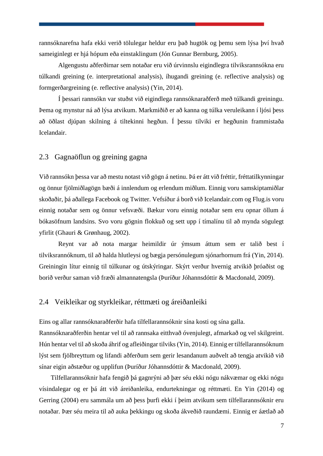rannsóknarefna hafa ekki verið tölulegar heldur eru það hugtök og þemu sem lýsa því hvað sameiginlegt er hjá hópum eða einstaklingum (Jón Gunnar Bernburg, 2005).

Algengustu aðferðirnar sem notaðar eru við úrvinnslu eigindlegra tilviksrannsókna eru túlkandi greining (e. interpretational analysis), íhugandi greining (e. reflective analysis) og formgerðargreining (e. reflective analysis) (Yin, 2014).

Í þessari rannsókn var stuðst við eigindlega rannsóknaraðferð með túlkandi greiningu. Þema og mynstur ná að lýsa atvikum. Markmiðið er að kanna og túlka veruleikann í ljósi þess að öðlast djúpan skilning á tiltekinni hegðun. Í þessu tilviki er hegðunin frammistaða Icelandair.

## <span id="page-16-0"></span>2.3 Gagnaöflun og greining gagna

Við rannsókn þessa var að mestu notast við gögn á netinu. Þá er átt við fréttir, fréttatilkynningar og önnur fjölmiðlagögn bæði á innlendum og erlendum miðlum. Einnig voru samskiptamiðlar skoðaðir, þá aðallega Facebook og Twitter. Vefsíður á borð við Icelandair.com og Flug.is voru einnig notaðar sem og önnur vefsvæði. Bækur voru einnig notaðar sem eru opnar öllum á bókasöfnum landsins. Svo voru gögnin flokkuð og sett upp í tímalínu til að mynda sögulegt yfirlit (Ghauri & Grønhaug, 2002).

Reynt var að nota margar heimildir úr ýmsum áttum sem er talið best í tilviksrannóknum, til að halda hlutleysi og bægja persónulegum sjónarhornum frá (Yin, 2014). Greiningin lítur einnig til túlkunar og útskýringar. Skýrt verður hvernig atvikið þróaðist og borið verður saman við fræði almannatengsla (Þuríður Jóhannsdóttir & Macdonald, 2009).

## <span id="page-16-1"></span>2.4 Veikleikar og styrkleikar, réttmæti og áreiðanleiki

Eins og allar rannsóknaraðferðir hafa tilfellarannsóknir sína kosti og sína galla.

Rannsóknaraðferðin hentar vel til að rannsaka eitthvað óvenjulegt, afmarkað og vel skilgreint. Hún hentar vel til að skoða áhrif og afleiðingar tilviks(Yin, 2014). Einnig er tilfellarannsóknum lýst sem fjölbreyttum og lifandi aðferðum sem gerir lesandanum auðvelt að tengja atvikið við sínar eigin aðstæður og upplifun (Þuríður Jóhannsdóttir & Macdonald, 2009).

Tilfellarannsóknir hafa fengið þá gagnrýni að þær séu ekki nógu nákvæmar og ekki nógu vísindalegar og er þá átt við áreiðanleika, endurtekningar og réttmæti. En Yin (2014) og Gerring (2004) eru sammála um að þess þurfi ekki í þeim atvikum sem tilfellarannsóknir eru notaðar. Þær séu meira til að auka þekkingu og skoða ákveðið raundæmi. Einnig er áætlað að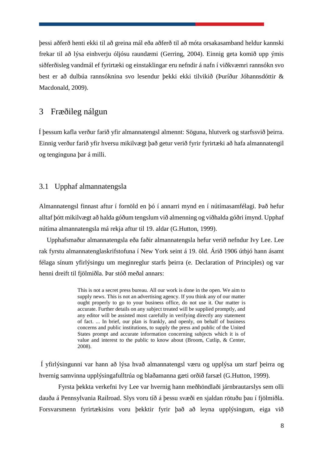þessi aðferð henti ekki til að greina mál eða aðferð til að móta orsakasamband heldur kannski frekar til að lýsa einhverju óljósu raundæmi (Gerring, 2004). Einnig geta komið upp ýmis siðferðisleg vandmál ef fyrirtæki og einstaklingar eru nefndir á nafn í viðkvæmri rannsókn svo best er að dulbúa rannsóknina svo lesendur þekki ekki tilvikið (Þuríður Jóhannsdóttir & Macdonald, 2009).

# <span id="page-17-0"></span>3 Fræðileg nálgun

Í þessum kafla verður farið yfir almannatengsl almennt: Söguna, hlutverk og starfssvið þeirra. Einnig verður farið yfir hversu mikilvægt það getur verið fyrir fyrirtæki að hafa almannatengil og tenginguna þar á milli.

## <span id="page-17-1"></span>3.1 Upphaf almannatengsla

Almannatengsl finnast aftur í fornöld en þó í annarri mynd en í nútímasamfélagi. Það hefur alltaf þótt mikilvægt að halda góðum tengslum við almenning og viðhalda góðri ímynd. Upphaf nútíma almannatengsla má rekja aftur til 19. aldar (G.Hutton, 1999).

Upphafsmaður almannatengsla eða faðir almannatengsla hefur verið nefndur Ivy Lee. Lee rak fyrstu almannatenglaskrifstofuna í New York seint á 19. öld. Árið 1906 útbjó hann ásamt félaga sínum yfirlýsingu um meginreglur starfs þeirra (e. Declaration of Principles) og var henni dreift til fjölmiðla. Þar stóð meðal annars:

> This is not a secret press bureau. All our work is done in the open. We aim to supply news. This is not an advertising agency. If you think any of our matter ought properly to go to your business office, do not use it. Our matter is accurate. Further details on any subject treated will be supplied promptly, and any editor will be assisted most carefully in verifying directly any statement of fact. ... In brief, our plan is frankly, and openly, on behalf of business concerns and public institutions, to supply the press and public of the United States prompt and accurate information concerning subjects which it is of value and interest to the public to know about (Broom, Cutlip, & Center, 2008).

Í yfirlýsingunni var hann að lýsa hvað almannatengsl væru og upplýsa um starf þeirra og hvernig samvinna upplýsingafulltrúa og blaðamanna gæti orðið farsæl (G.Hutton, 1999).

Fyrsta þekkta verkefni Ivy Lee var hvernig hann meðhöndlaði járnbrautarslys sem olli dauða á Pennsylvania Railroad. Slys voru tíð á þessu svæði en sjaldan rötuðu þau í fjölmiðla. Forsvarsmenn fyrirtækisins voru þekktir fyrir það að leyna upplýsingum, eiga við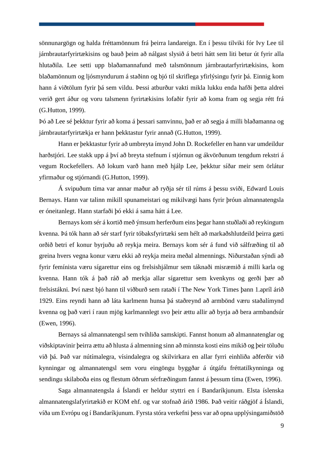sönnunargögn og halda fréttamönnum frá þeirra landareign. En í þessu tilviki fór Ivy Lee til járnbrautarfyrirtækisins og bauð þeim að nálgast slysið á betri hátt sem liti betur út fyrir alla hlutaðila. Lee setti upp blaðamannafund með talsmönnum járnbrautarfyrirtækisins, kom blaðamönnum og ljósmyndurum á staðinn og bjó til skriflega yfirlýsingu fyrir þá. Einnig kom hann á viðtölum fyrir þá sem vildu. Þessi atburður vakti mikla lukku enda hafði þetta aldrei verið gert áður og voru talsmenn fyrirtækisins lofaðir fyrir að koma fram og segja rétt frá (G.Hutton, 1999).

Þó að Lee sé þekktur fyrir að koma á þessari samvinnu, það er að segja á milli blaðamanna og járnbrautarfyrirtækja er hann þekktastur fyrir annað (G.Hutton, 1999).

Hann er þekktastur fyrir að umbreyta ímynd John D. Rockefeller en hann var umdeildur harðstjóri. Lee stakk upp á því að breyta stefnum í stjórnun og ákvörðunum tengdum rekstri á vegum Rockefellers. Að lokum varð hann með hjálp Lee, þekktur síðar meir sem örlátur yfirmaður og stjórnandi (G.Hutton, 1999).

Á svipuðum tíma var annar maður að ryðja sér til rúms á þessu sviði, Edward Louis Bernays. Hann var talinn mikill spunameistari og mikilvægi hans fyrir þróun almannatengsla er óneitanlegt. Hann starfaði þó ekki á sama hátt á Lee.

Bernays kom sér á kortið með ýmsum herferðum eins þegar hann stuðlaði að reykingum kvenna. Þá tók hann að sér starf fyrir tóbaksfyrirtæki sem hélt að markaðshlutdeild þeirra gæti orðið betri ef konur byrjuðu að reykja meira. Bernays kom sér á fund við sálfræðing til að greina hvers vegna konur væru ekki að reykja meira meðal almennings. Niðurstaðan sýndi að fyrir femínista væru sígarettur eins og frelsishjálmur sem táknaði misræmið á milli karla og kvenna. Hann tók á það ráð að merkja allar sígarettur sem kvenkyns og gerði þær að frelsistákni. Því næst bjó hann til viðburð sem rataði í The New York Times þann 1.apríl árið 1929. Eins reyndi hann að láta karlmenn hunsa þá staðreynd að armbönd væru staðalímynd kvenna og það væri í raun mjög karlmannlegt svo þeir ættu allir að byrja að bera armbandsúr (Ewen, 1996).

Bernays sá almannatengsl sem tvíhliða samskipti. Fannst honum að almannatenglar og viðskiptavinir þeirra ættu að hlusta á almenning sinn að minnsta kosti eins mikið og þeir töluðu við þá. Það var nútímalegra, vísindalegra og skilvirkara en allar fyrri einhliða aðferðir við kynningar og almannatengsl sem voru eingöngu byggðar á útgáfu fréttatilkynninga og sendingu skilaboða eins og flestum öðrum sérfræðingum fannst á þessum tíma (Ewen, 1996).

Saga almannatengsla á Íslandi er heldur styttri en í Bandaríkjunum. Elsta íslenska almannatengslafyrirtækið er KOM ehf. og var stofnað árið 1986. Það veitir ráðgjöf á Íslandi, víða um Evrópu og í Bandaríkjunum. Fyrsta stóra verkefni þess var að opna upplýsingamiðstöð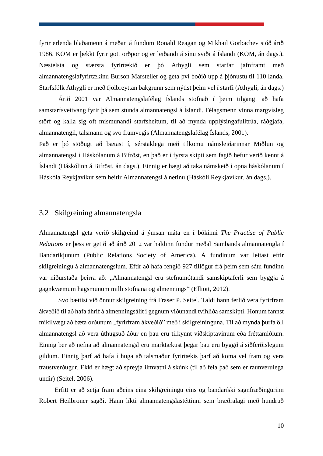fyrir erlenda blaðamenn á meðan á fundum Ronald Reagan og Mikhail Gorbachev stóð árið 1986. KOM er þekkt fyrir gott orðpor og er leiðandi á sínu sviði á Íslandi (KOM, án dags.). Næstelsta og stærsta fyrirtækið er þó Athygli sem starfar jafnframt með almannatengslafyrirtækinu Burson Marsteller og geta því boðið upp á þjónustu til 110 landa. Starfsfólk Athygli er með fjölbreyttan bakgrunn sem nýtist þeim vel í starfi (Athygli, án dags.)

Árið 2001 var Almannatengslafélag Íslands stofnað í þeim tilgangi að hafa samstarfsvettvang fyrir þá sem stunda almannatengsl á Íslandi. Félagsmenn vinna margvísleg störf og kalla sig oft mismunandi starfsheitum, til að mynda upplýsingafulltrúa, ráðgjafa, almannatengil, talsmann og svo framvegis (Almannatengslafélag Íslands, 2001).

Það er þó stöðugt að bætast í, sérstaklega með tilkomu námsleiðarinnar Miðlun og almannatengsl í Háskólanum á Bifröst, en það er í fyrsta skipti sem fagið hefur verið kennt á Íslandi (Háskólinn á Bifröst, án dags.). Einnig er hægt að taka námskeið í opna háskólanum í Háskóla Reykjavíkur sem heitir Almannatengsl á netinu (Háskóli Reykjavíkur, án dags.).

## <span id="page-19-0"></span>3.2 Skilgreining almannatengsla

Almannatengsl geta verið skilgreind á ýmsan máta en í bókinni *The Practise of Public Relations* er þess er getið að árið 2012 var haldinn fundur meðal Sambands almannatengla í Bandaríkjunum (Public Relations Society of America). Á fundinum var leitast eftir skilgreiningu á almannatengslum. Eftir að hafa fengið 927 tillögur frá þeim sem sátu fundinn var niðurstaða þeirra að: "Almannatengsl eru stefnumótandi samskiptaferli sem byggja á gagnkvæmum hagsmunum milli stofnana og almennings" (Elliott, 2012).

Svo bættist við önnur skilgreining frá Fraser P. Seitel. Taldi hann ferlið vera fyrirfram ákveðið til að hafa áhrif á almenningsálit í gegnum viðunandi tvíhliða samskipti. Honum fannst mikilvægt að bæta orðunum "fyrirfram ákveðið" með í skilgreininguna. Til að mynda þurfa öll almannatengsl að vera úthugsuð áður en þau eru tilkynnt viðskiptavinum eða fréttamiðlum. Einnig ber að nefna að almannatengsl eru marktækust þegar þau eru byggð á siðferðislegum gildum. Einnig þarf að hafa í huga að talsmaður fyrirtækis þarf að koma vel fram og vera traustverðugur. Ekki er hægt að spreyja ilmvatni á skúnk (til að fela það sem er raunverulega undir) (Seitel, 2006).

Erfitt er að setja fram aðeins eina skilgreiningu eins og bandaríski sagnfræðingurinn Robert Heilbroner sagði. Hann líkti almannatengslastéttinni sem bræðralagi með hundruð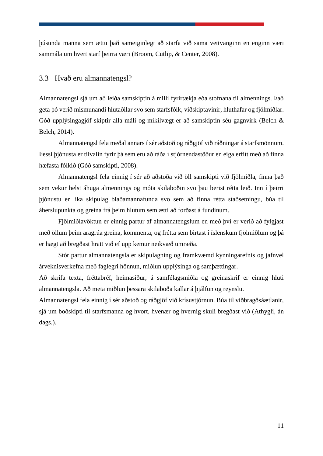þúsunda manna sem ættu það sameiginlegt að starfa við sama vettvanginn en enginn væri sammála um hvert starf þeirra væri (Broom, Cutlip, & Center, 2008).

## <span id="page-20-0"></span>3.3 Hvað eru almannatengsl?

Almannatengsl sjá um að leiða samskiptin á milli fyrirtækja eða stofnana til almennings. Það geta þó verið mismunandi hlutaðilar svo sem starfsfólk, viðskiptavinir, hluthafar og fjölmiðlar. Góð upplýsingagjöf skiptir alla máli og mikilvægt er að samskiptin séu gagnvirk (Belch & Belch, 2014).

Almannatengsl fela meðal annars í sér aðstoð og ráðgjöf við ráðningar á starfsmönnum. Þessi þjónusta er tilvalin fyrir þá sem eru að ráða í stjórnendastöður en eiga erfitt með að finna hæfasta fólkið (Góð samskipti, 2008).

Almannatengsl fela einnig í sér að aðstoða við öll samskipti við fjölmiðla, finna það sem vekur helst áhuga almennings og móta skilaboðin svo þau berist rétta leið. Inn í þeirri þjónustu er líka skipulag blaðamannafunda svo sem að finna rétta staðsetningu, búa til áherslupunkta og greina frá þeim hlutum sem ætti að forðast á fundinum.

Fjölmiðlavöktun er einnig partur af almannatengslum en með því er verið að fylgjast með öllum þeim aragrúa greina, kommenta, og frétta sem birtast í íslenskum fjölmiðlum og þá er hægt að bregðast hratt við ef upp kemur neikvæð umræða.

Stór partur almannatengsla er skipulagning og framkvæmd kynningarefnis og jafnvel árveknisverkefna með faglegri hönnun, miðlun upplýsinga og samþættingar.

Að skrifa texta, fréttabréf, heimasíður, á samfélagsmiðla og greinaskrif er einnig hluti almannatengsla. Að meta miðlun þessara skilaboða kallar á þjálfun og reynslu.

Almannatengsl fela einnig í sér aðstoð og ráðgjöf við krísustjórnun. Búa til viðbragðsáætlanir, sjá um boðskipti til starfsmanna og hvort, hvenær og hvernig skuli bregðast við (Athygli, án dags.).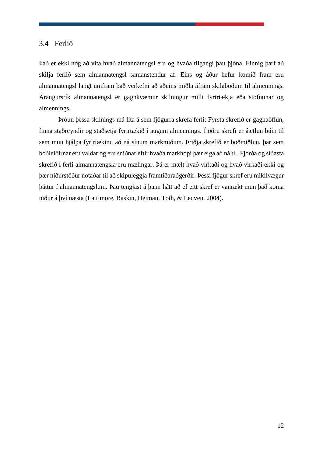#### <span id="page-21-0"></span>3.4 Ferlið

Það er ekki nóg að vita hvað almannatengsl eru og hvaða tilgangi þau þjóna. Einnig þarf að skilja ferlið sem almannatengsl samanstendur af. Eins og áður hefur komið fram eru almannatengsl langt umfram það verkefni að aðeins miðla áfram skilaboðum til almennings. Árangursrík almannatengsl er gagnkvæmur skilningur milli fyrirtækja eða stofnunar og almennings.

Þróun þessa skilnings má líta á sem fjögurra skrefa ferli: Fyrsta skrefið er gagnaöflun, finna staðreyndir og staðsetja fyrirtækið í augum almennings. Í öðru skrefi er áætlun búin til sem mun hjálpa fyrirtækinu að ná sínum markmiðum. Þriðja skrefið er boðmiðlun, þar sem boðleiðirnar eru valdar og eru sniðnar eftir hvaða markhópi þær eiga að ná til. Fjórða og síðasta skrefið í ferli almannatengsla eru mælingar. Þá er mælt hvað virkaði og hvað virkaði ekki og þær niðurstöður notaðar til að skipuleggja framtíðaraðgerðir. Þessi fjögur skref eru mikilvægur þáttur í almannatengslum. Þau tengjast á þann hátt að ef eitt skref er vanrækt mun það koma niður á því næsta (Lattimore, Baskin, Heiman, Toth, & Leuven, 2004).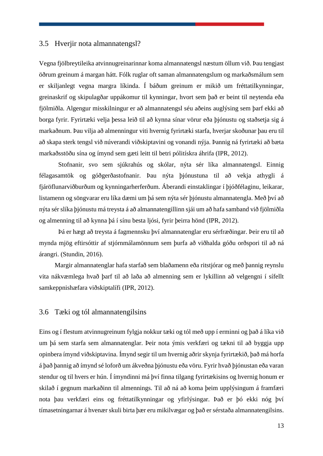### <span id="page-22-0"></span>3.5 Hverjir nota almannatengsl?

Vegna fjölbreytileika atvinnugreinarinnar koma almannatengsl næstum öllum við. Þau tengjast öðrum greinum á margan hátt. Fólk ruglar oft saman almannatengslum og markaðsmálum sem er skiljanlegt vegna margra líkinda. Í báðum greinum er mikið um fréttatilkynningar, greinaskrif og skipulagðar uppákomur til kynningar, hvort sem það er beint til neytenda eða fjölmiðla. Algengur misskilningur er að almannatengsl séu aðeins auglýsing sem þarf ekki að borga fyrir. Fyrirtæki velja þessa leið til að kynna sínar vörur eða þjónustu og staðsetja sig á markaðnum. Þau vilja að almenningur viti hvernig fyrirtæki starfa, hverjar skoðunar þau eru til að skapa sterk tengsl við núverandi viðskiptavini og vonandi nýja. Þannig ná fyrirtæki að bæta markaðsstöðu sína og ímynd sem gæti leitt til betri pólitískra áhrifa (IPR, 2012).

Stofnanir, svo sem sjúkrahús og skólar, nýta sér líka almannatengsl. Einnig félagasamtök og góðgerðastofnanir. Þau nýta þjónustuna til að vekja athygli á fjáröflunarviðburðum og kynningarherferðum. Áberandi einstaklingar í þjóðfélaginu, leikarar, listamenn og söngvarar eru líka dæmi um þá sem nýta sér þjónustu almannatengla. Með því að nýta sér slíka þjónustu má treysta á að almannatengillinn sjái um að hafa samband við fjölmiðla og almenning til að kynna þá í sínu besta ljósi, fyrir þeirra hönd (IPR, 2012).

Þá er hægt að treysta á fagmennsku því almannatenglar eru sérfræðingar. Þeir eru til að mynda mjög eftirsóttir af stjórnmálamönnum sem þurfa að viðhalda góðu orðspori til að ná árangri. (Stundin, 2016).

Margir almannatenglar hafa starfað sem blaðamenn eða ritstjórar og með þannig reynslu vita nákvæmlega hvað þarf til að laða að almenning sem er lykillinn að velgengni í sífellt samkeppnishæfara viðskiptalífi (IPR, 2012).

#### <span id="page-22-1"></span>3.6 Tæki og tól almannatengilsins

Eins og í flestum atvinnugreinum fylgja nokkur tæki og tól með upp í erminni og það á líka við um þá sem starfa sem almannatenglar. Þeir nota ýmis verkfæri og tækni til að byggja upp opinbera ímynd viðskiptavina. Ímynd segir til um hvernig aðrir skynja fyrirtækið, það má horfa á það þannig að ímynd sé loforð um ákveðna þjónustu eða vöru. Fyrir hvað þjónustan eða varan stendur og til hvers er hún. Í ímyndinni má því finna tilgang fyrirtækisins og hvernig honum er skilað í gegnum markaðinn til almennings. Til að ná að koma þeim upplýsingum á framfæri nota þau verkfæri eins og fréttatilkynningar og yfirlýsingar. Það er þó ekki nóg því tímasetningarnar á hvenær skuli birta þær eru mikilvægar og það er sérstaða almannatengilsins.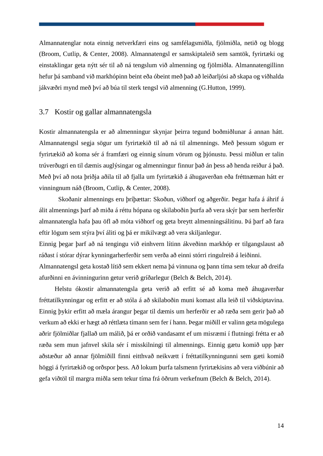Almannatenglar nota einnig netverkfæri eins og samfélagsmiðla, fjölmiðla, netið og blogg (Broom, Cutlip, & Center, 2008). Almannatengsl er samskiptaleið sem samtök, fyrirtæki og einstaklingar geta nýtt sér til að ná tengslum við almenning og fjölmiðla. Almannatengillinn hefur þá samband við markhópinn beint eða óbeint með það að leiðarljósi að skapa og viðhalda jákvæðri mynd með því að búa til sterk tengsl við almenning (G.Hutton, 1999).

## <span id="page-23-0"></span>3.7 Kostir og gallar almannatengsla

Kostir almannatengsla er að almenningur skynjar þeirra tegund boðmiðlunar á annan hátt. Almannatengsl segja sögur um fyrirtækið til að ná til almennings. Með þessum sögum er fyrirtækið að koma sér á framfæri og einnig sínum vörum og þjónustu. Þessi miðlun er talin trúverðugri en til dæmis auglýsingar og almenningur finnur það án þess að henda reiður á það. Með því að nota þriðja aðila til að fjalla um fyrirtækið á áhugaverðan eða fréttnæman hátt er vinningnum náð (Broom, Cutlip, & Center, 2008).

Skoðanir almennings eru þríþættar: Skoðun, viðhorf og aðgerðir. Þegar hafa á áhrif á álit almennings þarf að miða á réttu hópana og skilaboðin þurfa að vera skýr þar sem herferðir almannatengla hafa þau öfl að móta viðhorf og geta breytt almenningsálitinu. Þá þarf að fara eftir lögum sem stýra því áliti og þá er mikilvægt að vera skiljanlegur.

Einnig þegar þarf að ná tengingu við einhvern lítinn ákveðinn markhóp er tilgangslaust að ráðast í stórar dýrar kynningarherferðir sem verða að einni stórri ringulreið á leiðinni.

Almannatengsl geta kostað lítið sem ekkert nema þá vinnuna og þann tíma sem tekur að dreifa afurðinni en ávinningurinn getur verið gríðarlegur (Belch & Belch, 2014).

Helstu ókostir almannatengsla geta verið að erfitt sé að koma með áhugaverðar fréttatilkynningar og erfitt er að stóla á að skilaboðin muni komast alla leið til viðskiptavina. Einnig þykir erfitt að mæla árangur þegar til dæmis um herferðir er að ræða sem gerir það að verkum að ekki er hægt að réttlæta tímann sem fer í hann. Þegar miðill er valinn geta mögulega aðrir fjölmiðlar fjallað um málið, þá er orðið vandasamt ef um misræmi í flutningi frétta er að ræða sem mun jafnvel skila sér í misskilningi til almennings. Einnig gætu komið upp þær aðstæður að annar fjölmiðill finni eitthvað neikvætt í fréttatilkynningunni sem gæti komið höggi á fyrirtækið og orðspor þess. Að lokum þurfa talsmenn fyrirtækisins að vera viðbúnir að gefa viðtöl til margra miðla sem tekur tíma frá öðrum verkefnum (Belch & Belch, 2014).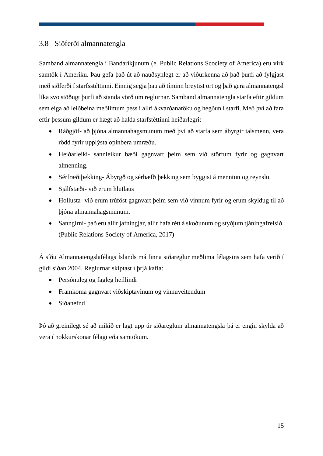# <span id="page-24-0"></span>3.8 Siðferði almannatengla

Samband almannatengla í Bandaríkjunum (e. Public Relations Scociety of America) eru virk samtök í Ameríku. Þau gefa það út að nauðsynlegt er að viðurkenna að það þurfi að fylgjast með siðferði í starfsstéttinni. Einnig segja þau að tíminn breytist ört og það gera almannatengsl líka svo stöðugt þurfi að standa vörð um reglurnar. Samband almannatengla starfa eftir gildum sem eiga að leiðbeina meðlimum þess í allri ákvarðanatöku og hegðun í starfi. Með því að fara eftir þessum gildum er hægt að halda starfstéttinni heiðarlegri:

- Ráðgjöf- að þjóna almannahagsmunum með því að starfa sem ábyrgir talsmenn, vera rödd fyrir upplýsta opinbera umræðu.
- Heiðarleiki- sannleikur bæði gagnvart þeim sem við störfum fyrir og gagnvart almenning.
- Sérfræðiþekking- Ábyrgð og sérhæfð þekking sem byggist á menntun og reynslu.
- Sjálfstæði- við erum hlutlaus
- Hollusta- við erum trúföst gagnvart þeim sem við vinnum fyrir og erum skyldug til að þjóna almannahagsmunum.
- Sanngirni- bað eru allir jafningjar, allir hafa rétt á skoðunum og styðjum tjáningafrelsið. (Public Relations Society of America, 2017)

Á síðu Almannatengslafélags Íslands má finna siðareglur meðlima félagsins sem hafa verið í gildi síðan 2004. Reglurnar skiptast í þrjá kafla:

- Persónuleg og fagleg heillindi
- Framkoma gagnvart viðskiptavinum og vinnuveitendum
- Siðanefnd

Þó að greinilegt sé að mikið er lagt upp úr siðareglum almannatengsla þá er engin skylda að vera í nokkurskonar félagi eða samtökum.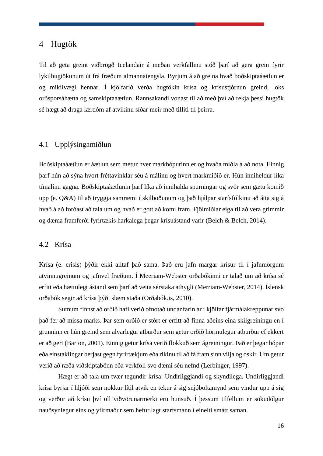## <span id="page-25-0"></span>4 Hugtök

Til að geta greint viðbrögð Icelandair á meðan verkfallinu stóð þarf að gera grein fyrir lykilhugtökunum út frá fræðum almannatengsla. Byrjum á að greina hvað boðskiptaáætlun er og mikilvægi hennar. Í kjölfarið verða hugtökin krísa og krísustjórnun greind, loks orðsporsáhætta og samskiptaáætlun. Rannsakandi vonast til að með því að rekja þessi hugtök sé hægt að draga lærdóm af atvikinu síðar meir með tilliti til þeirra.

## <span id="page-25-1"></span>4.1 Upplýsingamiðlun

Boðskiptaáætlun er áætlun sem metur hver markhópurinn er og hvaða miðla á að nota. Einnig þarf hún að sýna hvort fréttavinklar séu á málinu og hvert markmiðið er. Hún inniheldur líka tímalínu gagna. Boðskiptaáætlunin þarf líka að innihalda spurningar og svör sem gætu komið upp (e. Q&A) til að tryggja samræmi í skilboðunum og það hjálpar starfsfólkinu að átta sig á hvað á að forðast að tala um og hvað er gott að komi fram. Fjölmiðlar eiga til að vera grimmir og dæma framferði fyrirtækis harkalega þegar krísuástand varir (Belch & Belch, 2014).

#### <span id="page-25-2"></span>4.2 Krísa

Krísa (e. crisis) þýðir ekki alltaf það sama. Það eru jafn margar krísur til í jafnmörgum atvinnugreinum og jafnvel fræðum. Í Meeriam-Webster orðabókinni er talað um að krísa sé erfitt eða hættulegt ástand sem þarf að veita sérstaka athygli (Merriam-Webster, 2014). Íslensk orðabók segir að krísa þýði slæm staða (Orðabók.is, 2010).

Sumum finnst að orðið hafi verið ofnotað undanfarin ár í kjölfar fjármálakreppunar svo það fer að missa marks. Þar sem orðið er stórt er erfitt að finna aðeins eina skilgreiningu en í grunninn er hún greind sem alvarlegur atburður sem getur orðið hörmulegur atburður ef ekkert er að gert (Barton, 2001). Einnig getur krísa verið flokkuð sem ágreiningur. Það er þegar hópar eða einstaklingar berjast gegn fyrirtækjum eða ríkinu til að fá fram sinn vilja og óskir. Um getur verið að ræða viðskiptabönn eða verkföll svo dæmi séu nefnd (Lerbinger, 1997).

Hægt er að tala um tvær tegundir krísa: Undirliggjandi og skyndilega. Undirliggjandi krísa byrjar í hljóði sem nokkur lítil atvik en tekur á sig snjóboltamynd sem vindur upp á sig og verður að krísu því öll viðvörunarmerki eru hunsuð. Í þessum tilfellum er sökudólgur nauðsynlegur eins og yfirmaður sem hefur lagt starfsmann í einelti smátt saman.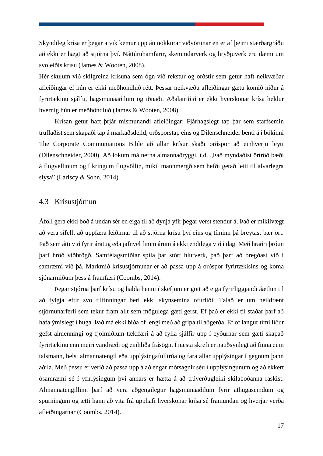Skyndileg krísa er þegar atvik kemur upp án nokkurar viðvörunar en er af þeirri stærðargráðu að ekki er hægt að stjórna því. Náttúruhamfarir, skemmdarverk og hryðjuverk eru dæmi um svoleiðis krísu (James & Wooten, 2008).

Hér skulum við skilgreina krísuna sem ógn við rekstur og orðstír sem getur haft neikvæðar afleiðingar ef hún er ekki meðhöndluð rétt. Þessar neikvæðu afleiðingar gætu komið niður á fyrirtækinu sjálfu, hagsmunaaðilum og iðnaði. Aðalatriðið er ekki hverskonar krísa heldur hvernig hún er meðhöndluð (James & Wooten, 2008).

Krísan getur haft þrjár mismunandi afleiðingar: Fjárhagslegt tap þar sem starfsemin truflaðist sem skapaði tap á markaðsdeild, orðsporstap eins og Dilenschneider benti á í bókinni The Corporate Communiations Bible að allar krísur skaði orðspor að einhverju leyti (Dilenschneider, 2000). Að lokum má nefna almannaöryggi, t.d. "Það myndaðist örtröð bæði á flugvellinum og í kringum flugvöllin, mikil mannmergð sem hefði getað leitt til alvarlegra slysa" (Lariscy & Sohn, 2014).

## <span id="page-26-0"></span>4.3 Krísustjórnun

Áföll gera ekki boð á undan sér en eiga til að dynja yfir þegar verst stendur á. Það er mikilvægt að vera sífellt að uppfæra leiðirnar til að stjórna krísu því eins og tíminn þá breytast þær ört. Það sem átti við fyrir áratug eða jafnvel fimm árum á ekki endilega við í dag. Með hraðri þróun þarf hröð viðbrögð. Samfélagsmiðlar spila þar stórt hlutverk, það þarf að bregðast við í samræmi við þá. Markmið krísustjórnunar er að passa upp á orðspor fyrirtækisins og koma sjónarmiðum þess á framfæri (Coombs, 2014).

Þegar stjórna þarf krísu og halda henni í skefjum er gott að eiga fyrirliggjandi áætlun til að fylgja eftir svo tilfinningar beri ekki skynsemina ofurliði. Talað er um heildrænt stjórnunarferli sem tekur fram allt sem mögulega gæti gerst. Ef það er ekki til staðar þarf að hafa ýmislegt í huga. Það má ekki bíða of lengi með að grípa til aðgerða. Ef of langur tími líður gefst almenningi og fjölmiðlum tækifæri á að fylla sjálfir upp í eyðurnar sem gæti skapað fyrirtækinu enn meiri vandræði og einhliða frásögn. Í næsta skrefi er nauðsynlegt að finna einn talsmann, helst almannatengil eða upplýsingafulltrúa og fara allar upplýsingar í gegnum þann aðila. Með þessu er verið að passa upp á að engar mótsagnir séu í upplýsingunum og að ekkert ósamræmi sé í yfirlýsingum því annars er hætta á að trúverðugleiki skilaboðanna raskist. Almannatengillinn þarf að vera aðgengilegur hagsmunaaðilum fyrir athugasemdum og spurningum og ætti hann að vita frá upphafi hverskonar krísa sé framundan og hverjar verða afleiðingarnar (Coombs, 2014).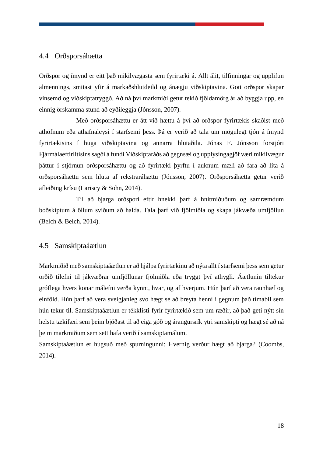## <span id="page-27-0"></span>4.4 Orðsporsáhætta

Orðspor og ímynd er eitt það mikilvægasta sem fyrirtæki á. Allt álit, tilfinningar og upplifun almennings, smitast yfir á markaðshlutdeild og ánægju viðskiptavina. Gott orðspor skapar vinsemd og viðskiptatryggð. Að ná því markmiði getur tekið fjöldamörg ár að byggja upp, en einnig örskamma stund að eyðileggja (Jónsson, 2007).

Með orðsporsáhættu er átt við hættu á því að orðspor fyrirtækis skaðist með athöfnum eða athafnaleysi í starfsemi þess. Þá er verið að tala um mögulegt tjón á ímynd fyrirtækisins í huga viðskiptavina og annarra hlutaðila. Jónas F. Jónsson forstjóri Fjármálaeftirlitisinssagði á fundi Viðskiptaráðs að gegnsæi og upplýsingagjöf væri mikilvægur þáttur í stjórnun orðsporsáhættu og að fyrirtæki þyrftu í auknum mæli að fara að líta á orðsporsáhættu sem hluta af rekstraráhættu (Jónsson, 2007). Orðsporsáhætta getur verið afleiðing krísu (Lariscy & Sohn, 2014).

Til að bjarga orðspori eftir hnekki þarf á hnitmiðuðum og samræmdum boðskiptum á öllum sviðum að halda. Tala þarf við fjölmiðla og skapa jákvæða umfjöllun (Belch & Belch, 2014).

## <span id="page-27-1"></span>4.5 Samskiptaáætlun

Markmiðið með samskiptaáætlun er að hjálpa fyrirtækinu að nýta allt í starfsemi þess sem getur orðið tilefni til jákvæðrar umfjöllunar fjölmiðla eða tryggt því athygli. Áætlunin tiltekur gróflega hvers konar málefni verða kynnt, hvar, og af hverjum. Hún þarf að vera raunhæf og einföld. Hún þarf að vera sveigjanleg svo hægt sé að breyta henni í gegnum það tímabil sem hún tekur til. Samskiptaáætlun er tékklisti fyrir fyrirtækið sem um ræðir, að það geti nýtt sín helstu tækifæri sem þeim bjóðast til að eiga góð og árangursrík ytri samskipti og hægt sé að ná þeim markmiðum sem sett hafa verið í samskiptamálum.

Samskiptaáætlun er hugsuð með spurningunni: Hvernig verður hægt að bjarga? (Coombs, 2014).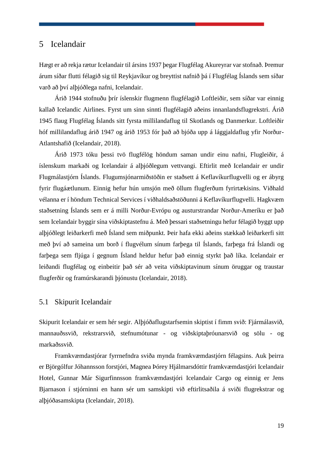## <span id="page-28-0"></span>5 Icelandair

Hægt er að rekja rætur Icelandair til ársins 1937 þegar Flugfélag Akureyrar var stofnað. Þremur árum síðar flutti félagið sig til Reykjavíkur og breyttist nafnið þá í Flugfélag Íslands sem síðar varð að því alþjóðlega nafni, Icelandair.

Árið 1944 stofnuðu þrír íslenskir flugmenn flugfélagið Loftleiðir, sem síðar var einnig kallað Icelandic Airlines. Fyrst um sinn sinnti flugfélagið aðeins innanlandsflugrekstri. Árið 1945 flaug Flugfélag Íslands sitt fyrsta millilandaflug til Skotlands og Danmerkur. Loftleiðir hóf millilandaflug árið 1947 og árið 1953 fór það að bjóða upp á lággjaldaflug yfir Norður-Atlantshafið (Icelandair, 2018).

Árið 1973 tóku þessi tvö flugfélög höndum saman undir einu nafni, Flugleiðir, á íslenskum markaði og Icelandair á alþjóðlegum vettvangi. Eftirlit með Icelandair er undir Flugmálastjórn Íslands. Flugumsjónarmiðstöðin er staðsett á Keflavíkurflugvelli og er ábyrg fyrir flugáætlunum. Einnig hefur hún umsjón með öllum flugferðum fyrirtækisins. Viðhald vélanna er í höndum Technical Services í viðhaldsaðstöðunni á Keflavíkurflugvelli. Hagkvæm staðsetning Íslands sem er á milli Norður-Evrópu og austurstrandar Norður-Ameríku er það sem Icelandair byggir sína viðskiptastefnu á. Með þessari staðsetningu hefur félagið byggt upp alþjóðlegt leiðarkerfi með Ísland sem miðpunkt. Þeir hafa ekki aðeins stækkað leiðarkerfi sitt með því að sameina um borð í flugvélum sínum farþega til Íslands, farþega frá Íslandi og farþega sem fljúga í gegnum Ísland heldur hefur það einnig styrkt það líka. Icelandair er leiðandi flugfélag og einbeitir það sér að veita viðskiptavinum sínum öruggar og traustar flugferðir og framúrskarandi þjónustu (Icelandair, 2018).

## <span id="page-28-1"></span>5.1 Skipurit Icelandair

Skipurit Icelandair er sem hér segir. Alþjóðaflugstarfsemin skiptist í fimm svið: Fjármálasvið, mannauðssvið, rekstrarsvið, stefnumótunar - og viðskiptaþróunarsvið og sölu - og markaðssvið.

Framkvæmdastjórar fyrrnefndra sviða mynda framkvæmdastjórn félagsins. Auk þeirra er Björgólfur Jóhannsson forstjóri, Magnea Þórey Hjálmarsdóttir framkvæmdastjóri Icelandair Hotel, Gunnar Már Sigurfinnsson framkvæmdastjóri Icelandair Cargo og einnig er Jens Bjarnason í stjórninni en hann sér um samskipti við eftirlitsaðila á sviði flugrekstrar og alþjóðasamskipta (Icelandair, 2018).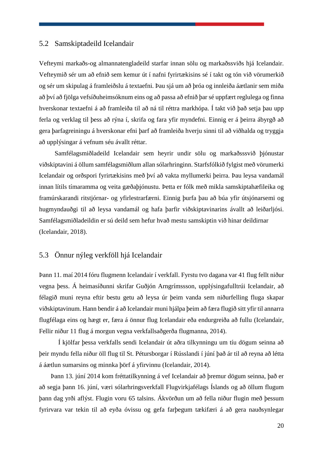## <span id="page-29-0"></span>5.2 Samskiptadeild Icelandair

Vefteymi markaðs-og almannatengladeild starfar innan sölu og markaðssviðs hjá Icelandair. Vefteymið sér um að efnið sem kemur út í nafni fyrirtækisins sé í takt og tón við vörumerkið og sér um skipulag á framleiðslu á textaefni. Þau sjá um að þróa og innleiða áætlanir sem miða að því að fjölga vefsíðuheimsóknum eins og að passa að efnið þar sé uppfært reglulega og finna hverskonar textaefni á að framleiða til að ná til réttra markhópa. Í takt við það setja þau upp ferla og verklag til þess að rýna í, skrifa og fara yfir myndefni. Einnig er á þeirra ábyrgð að gera þarfagreiningu á hverskonar efni þarf að framleiða hverju sinni til að viðhalda og tryggja að upplýsingar á vefnum séu ávallt réttar.

Samfélagsmiðladeild Icelandair sem heyrir undir sölu og markaðsssvið þjónustar viðskiptavini á öllum samfélagsmiðlum allan sólarhringinn. Starfsfólkið fylgist með vörumerki Icelandair og orðspori fyrirtækisins með því að vakta myllumerki þeirra. Þau leysa vandamál innan lítils tímaramma og veita gæðaþjónustu. Þetta er fólk með mikla samskiptahæfileika og framúrskarandi ritstjórnar- og yfirlestrarfærni. Einnig þurfa þau að búa yfir útsjónarsemi og hugmyndauðgi til að leysa vandamál og hafa þarfir viðskiptavinarins ávallt að leiðarljósi. Samfélagsmiðladeildin er sú deild sem hefur hvað mestu samskiptin við hinar deildirnar (Icelandair, 2018).

# <span id="page-29-1"></span>5.3 Önnur nýleg verkföll hjá Icelandair

Þann 11. maí 2014 fóru flugmenn Icelandair í verkfall. Fyrstu tvo dagana var 41 flug fellt niður vegna þess. Á heimasíðunni skrifar Guðjón Arngrímssson, upplýsingafulltrúi Icelandair, að félagið muni reyna eftir bestu getu að leysa úr þeim vanda sem niðurfelling fluga skapar viðskiptavinum. Hann bendir á að Icelandair muni hjálpa þeim að færa flugið sitt yfir til annarra flugfélaga eins og hægt er, færa á önnur flug Icelandair eða endurgreiða að fullu (Icelandair, Fellir niður 11 flug á morgun vegna verkfallsaðgerða flugmanna, 2014).

Í kjölfar þessa verkfalls sendi Icelandair út aðra tilkynningu um tíu dögum seinna að þeir myndu fella niður öll flug til St. Pétursborgar í Rússlandi í júní það ár til að reyna að létta á áætlun sumarsins og minnka þörf á yfirvinnu (Icelandair, 2014).

Þann 13. júní 2014 kom fréttatilkynning á vef Icelandair að þremur dögum seinna, það er að segja þann 16. júní, væri sólarhringsverkfall Flugvirkjafélags Íslands og að öllum flugum þann dag yrði aflýst. Flugin voru 65 talsins. Ákvörðun um að fella niður flugin með þessum fyrirvara var tekin til að eyða óvissu og gefa farþegum tækifæri á að gera nauðsynlegar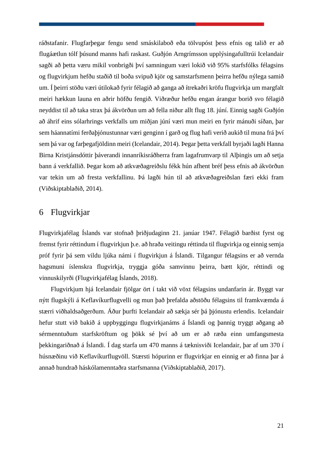ráðstafanir. Flugfarþegar fengu send smáskilaboð eða tölvupóst þess efnis og talið er að flugáætlun tólf þúsund manns hafi raskast. Guðjón Arngrímsson upplýsingafulltrúi Icelandair sagði að þetta væru mikil vonbrigði því samningum væri lokið við 95% starfsfólks félagsins og flugvirkjum hefðu staðið til boða svipuð kjör og samstarfsmenn þeirra hefðu nýlega samið um. Í þeirri stöðu væri útilokað fyrir félagið að ganga að ítrekaðri kröfu flugvirkja um margfalt meiri hækkun launa en aðrir höfðu fengið. Viðræður hefðu engan árangur borið svo félagið neyddist til að taka strax þá ákvörðun um að fella niður allt flug 18. júní. Einnig sagði Guðjón að áhrif eins sólarhrings verkfalls um miðjan júní væri mun meiri en fyrir mánuði síðan, þar sem háannatími ferðaþjónustunnar væri genginn í garð og flug hafi verið aukið til muna frá því sem þá var og farþegafjöldinn meiri (Icelandair, 2014). Þegar þetta verkfall byrjaði lagði Hanna Birna Kristjánsdóttir þáverandi innanríkisráðherra fram lagafrumvarp til Alþingis um að setja bann á verkfallið. Þegar kom að atkvæðagreiðslu fékk hún afhent bréf þess efnis að ákvörðun var tekin um að fresta verkfallinu. Þá lagði hún til að atkvæðagreiðslan færi ekki fram (Viðskiptablaðið, 2014).

# <span id="page-30-0"></span>6 Flugvirkjar

Flugvirkjafélag Íslands var stofnað þriðjudaginn 21. janúar 1947. Félagið barðist fyrst og fremst fyrir réttindum í flugvirkjun þ.e. að hraða veitingu réttinda til flugvirkja og einnig semja próf fyrir þá sem vildu ljúka námi í flugvirkjun á Íslandi. Tilgangur félagsins er að vernda hagsmuni íslenskra flugvirkja, tryggja góða samvinnu þeirra, bætt kjör, réttindi og vinnuskilyrði (Flugvirkjafélag Íslands, 2018).

Flugvirkjum hjá Icelandair fjölgar ört í takt við vöxt félagsins undanfarin ár. Byggt var nýtt flugskýli á Keflavíkurflugvelli og mun það þrefalda aðstöðu félagsins til framkvæmda á stærri viðhaldsaðgerðum. Áður þurfti Icelandair að sækja sér þá þjónustu erlendis. Icelandair hefur stutt við bakið á uppbyggingu flugvirkjanáms á Íslandi og þannig tryggt aðgang að sérmenntuðum starfskröftum og þökk sé því að um er að ræða einn umfangsmesta þekkingariðnað á Íslandi. Í dag starfa um 470 manns á tæknisviði Icelandair, þar af um 370 í húsnæðinu við Keflavíkurflugvöll. Stærsti hópurinn er flugvirkjar en einnig er að finna þar á annað hundrað háskólamenntaðra starfsmanna (Viðskiptablaðið, 2017).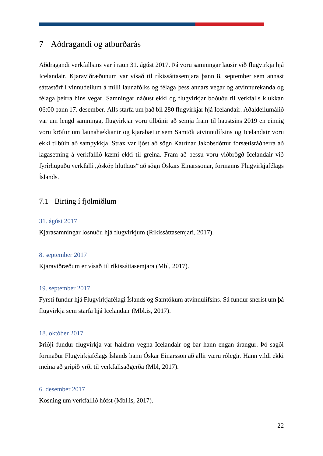# <span id="page-31-0"></span>7 Aðdragandi og atburðarás

Aðdragandi verkfallsins var í raun 31. ágúst 2017. Þá voru samningar lausir við flugvirkja hjá Icelandair. Kjaraviðræðunum var vísað til ríkissáttasemjara þann 8. september sem annast sáttastörf í vinnudeilum á milli launafólks og félaga þess annars vegar og atvinnurekanda og félaga þeirra hins vegar. Samningar náðust ekki og flugvirkjar boðuðu til verkfalls klukkan 06:00 þann 17. desember. Alls starfa um það bil 280 flugvirkjar hjá Icelandair. Aðaldeilumálið var um lengd samninga, flugvirkjar voru tilbúnir að semja fram til haustsins 2019 en einnig voru kröfur um launahækkanir og kjarabætur sem Samtök atvinnulífsins og Icelandair voru ekki tilbúin að samþykkja. Strax var ljóst að sögn Katrínar Jakobsdóttur forsætisráðherra að lagasetning á verkfallið kæmi ekki til greina. Fram að þessu voru viðbrögð Icelandair við fyrirhuguðu verkfalli "ósköp hlutlaus" að sögn Óskars Einarssonar, formanns Flugvirkjafélags Íslands.

## <span id="page-31-1"></span>7.1 Birting í fjölmiðlum

#### 31. ágúst 2017

Kjarasamningar losnuðu hjá flugvirkjum (Ríkissáttasemjari, 2017).

#### 8. september 2017

Kjaraviðræðum er vísað til ríkissáttasemjara (Mbl, 2017).

#### 19. september 2017

Fyrsti fundur hjá Flugvirkjafélagi Íslands og Samtökum atvinnulífsins. Sá fundur snerist um þá flugvirkja sem starfa hjá Icelandair (Mbl.is, 2017).

#### 18. október 2017

Þriðji fundur flugvirkja var haldinn vegna Icelandair og bar hann engan árangur. Þó sagði formaður Flugvirkjafélags Íslands hann Óskar Einarsson að allir væru rólegir. Hann vildi ekki meina að gripið yrði til verkfallsaðgerða (Mbl, 2017).

#### 6. desember 2017

Kosning um verkfallið hófst (Mbl.is, 2017).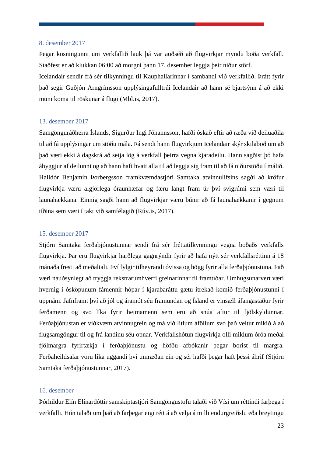#### 8. desember 2017

Þegar kosningunni um verkfallið lauk þá var auðséð að flugvirkjar myndu boða verkfall. Staðfest er að klukkan 06:00 að morgni þann 17. desember leggja þeir niður störf.

Icelandair sendir frá sér tilkynningu til Kauphallarinnar í sambandi við verkfallið. Þrátt fyrir það segir Guðjón Arngrímsson upplýsingafulltrúi Icelandair að hann sé bjartsýnn á að ekki muni koma til röskunar á flugi (Mbl.is, 2017).

#### 13. desember 2017

Samgönguráðherra Íslands, Sigurður Ingi Jóhannsson, hafði óskað eftir að ræða við deiluaðila til að fá upplýsingar um stöðu mála. Þá sendi hann flugvirkjum Icelandair skýr skilaboð um að það væri ekki á dagskrá að setja lög á verkfall þeirra vegna kjaradeilu. Hann sagðist þó hafa áhyggjur af deilunni og að hann hafi hvatt alla til að leggja sig fram til að fá niðurstöðu í málið. Halldór Benjamín Þorbergsson framkvæmdastjóri Samtaka atvinnulífsins sagði að kröfur flugvirkja væru algjörlega óraunhæfar og færu langt fram úr því svigrúmi sem væri til launahækkana. Einnig sagði hann að flugvirkjar væru búnir að fá launahækkanir í gegnum tíðina sem væri í takt við samfélagið (Rúv.is, 2017).

#### 15. desember 2017

Stjórn Samtaka ferðaþjónustunnar sendi frá sér fréttatilkynningu vegna boðaðs verkfalls flugvirkja. Þar eru flugvirkjar harðlega gagnrýndir fyrir að hafa nýtt sér verkfallsréttinn á 18 mánaða fresti að meðaltali. Því fylgir tilheyrandi óvissa og högg fyrir alla ferðaþjónustuna. Það væri nauðsynlegt að tryggja rekstrarumhverfi greinarinnar til framtíðar. Umhugsunarvert væri hvernig í ósköpunum fámennir hópar í kjarabaráttu gætu ítrekað komið ferðaþjónustunni í uppnám. Jafnframt því að jól og áramót séu framundan og Ísland er vinsæll áfangastaður fyrir ferðamenn og svo líka fyrir heimamenn sem eru að snúa aftur til fjölskyldunnar. Ferðaþjónustan er viðkvæm atvinnugrein og má við litlum áföllum svo það veltur mikið á að flugsamgöngur til og frá landinu séu opnar. Verkfallshótun flugvirkja olli miklum óróa meðal fjölmargra fyrirtækja í ferðaþjónustu og höfðu afbókanir þegar borist til margra. Ferðaheildsalar voru líka uggandi því umræðan ein og sér hafði þegar haft þessi áhrif (Stjórn Samtaka ferðaþjónustunnar, 2017).

#### 16. desember

Þórhildur Elín Elínardóttir samskiptastjóri Samgöngustofu talaði við Vísi um réttindi farþega í verkfalli. Hún talaði um það að farþegar eigi rétt á að velja á milli endurgreiðslu eða breytingu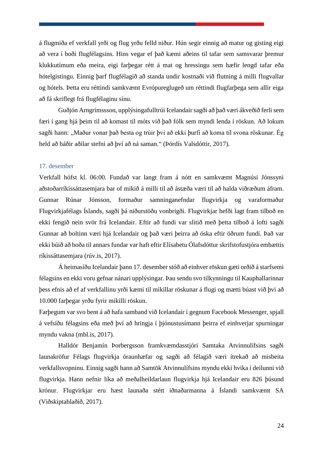á flugmiða ef verkfall yrði og flug yrðu felld niður. Hún segir einnig að matur og gisting eigi að vera í boði flugfélagsins. Hins vegar ef það kæmi aðeins til tafar sem samsvarar þremur klukkutímum eða meira, eigi farþegar rétt á mat og hressingu sem hæfir lengd tafar eða hótelgistingu. Einnig þarf flugfélagið að standa undir kostnaði við flutning á milli flugvallar og hótels. Þetta eru réttindi samkvæmt Evrópureglugeð um réttindi flugfarþega sem allir eiga að fá skriflegt frá flugfélaginu sínu.

Guðjón Arngrímssson, upplýsingafulltrúi Icelandair sagði að það væri ákveðið ferli sem færi í gang hjá þeim til að komast til móts við það fólk sem myndi lenda í röskun. Að lokum sagði hann: "Maður vonar það besta og trúir því að ekki þurfi að koma til svona röskunar. Ég held að báðir aðilar stefni að því að ná saman." (Þórdís Valsdóttir, 2017).

#### 17. desember

Verkfall hófst kl. 06:00. Fundað var langt fram á nótt en samkvæmt Magnúsi Jónssyni aðstoðarríkissáttasemjara bar of mikið á milli til að ástæða væri til að halda viðræðum áfram. Gunnar Rúnar Jónsson, formaður samninganefndar flugvirkja og varaformaður Flugvirkjafélags Íslands, sagði þá niðurstöðu vonbrigði. Flugvirkjar hefði lagt fram tilboð en ekki fengið nein svör frá Icelandair. Eftir að fundi var slitið með þetta tilboð á lofti sagði Gunnar að boltinn væri hjá Icelandair og það væri þeirra að óska eftir öðrum fundi. Það var ekki búið að boða til annars fundar var haft eftir Elísabetu Ólafsdóttur skrifstofustjóra embættis ríkissáttasemjara (rúv.is, 2017).

Á heimasíðu Icelandair þann 17. desember stóð að einhver röskun gæti orðið á starfsemi félagsins en ekki voru gefnar nánari upplýsingar. Þau sendu svo tilkynningu til Kauphallarinnar þess efnis að ef af verkfallinu yrði kæmi til mikillar röskunar á flugi og mætti búast við þvi að 10.000 farþegar yrðu fyrir mikilli röskun.

Farþegum var svo bent á að hafa samband við Icelandair í gegnum Facebook Messenger, spjall á vefsíðu félagsins eða með því að hringja í þjónustusímann þeirra ef einhverjar spurningar myndu vakna (mbl.is, 2017).

Halldór Benjamín Þorbergsson framkvæmdasstjóri Samtaka Atvinnulífsins sagði launakröfur Félags flugvirkja óraunhæfar og sagði að félagið væri ítrekað að misbeita verkfallsvopninu. Einnig sagði hann að Samtök Atvinnulífsins myndu ekki hvika í deilunni við flugvirkja. Hann nefnir líka að meðalheildarlaun flugvirkja hjá Icelandair eru 826 þúsund krónur. Flugvirkjar eru hæst launaða stétt iðnaðarmanna á Íslandi samkvæmt SA (Viðskiptablaðið, 2017).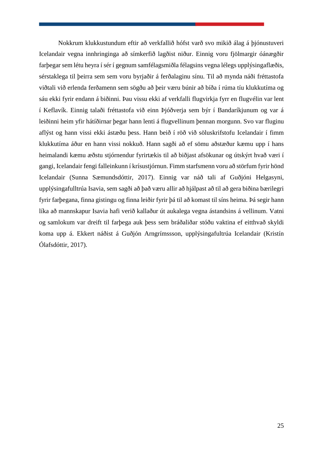Nokkrum klukkustundum eftir að verkfallið hófst varð svo mikið álag á þjónustuveri Icelandair vegna innhringinga að símkerfið lagðist niður. Einnig voru fjölmargir óánægðir farþegar sem létu heyra í sér í gegnum samfélagsmiðla félagsins vegna lélegs upplýsingaflæðis, sérstaklega til þeirra sem sem voru byrjaðir á ferðalaginu sínu. Til að mynda náði fréttastofa viðtali við erlenda ferðamenn sem sögðu að þeir væru búnir að bíða í rúma tíu klukkutíma og sáu ekki fyrir endann á biðinni. Þau vissu ekki af verkfalli flugvirkja fyrr en flugvélin var lent í Keflavík. Einnig talaði fréttastofa við einn Þjóðverja sem býr í Bandaríkjunum og var á leiðinni heim yfir hátíðirnar þegar hann lenti á flugvellinum þennan morgunn. Svo var fluginu aflýst og hann vissi ekki ástæðu þess. Hann beið í röð við söluskrifstofu Icelandair í fimm klukkutíma áður en hann vissi nokkuð. Hann sagði að ef sömu aðstæður kæmu upp í hans heimalandi kæmu æðstu stjórnendur fyrirtækis til að biðjast afsökunar og útskýrt hvað væri í gangi, Icelandair fengi falleinkunn í krísustjórnun. Fimm starfsmenn voru að störfum fyrir hönd Icelandair (Sunna Sæmundsdóttir, 2017). Einnig var náð tali af Guðjóni Helgasyni, upplýsingafulltrúa Isavia, sem sagði að það væru allir að hjálpast að til að gera biðina bærilegri fyrir farþegana, finna gistingu og finna leiðir fyrir þá til að komast til síns heima. Þá segir hann líka að mannskapur Isavia hafi verið kallaður út aukalega vegna ástandsins á vellinum. Vatni og samlokum var dreift til farþega auk þess sem bráðaliðar stóðu vaktina ef eitthvað skyldi koma upp á. Ekkert náðist á Guðjón Arngrímssson, upplýsingafultrúa Icelandair (Kristín Ólafsdóttir, 2017).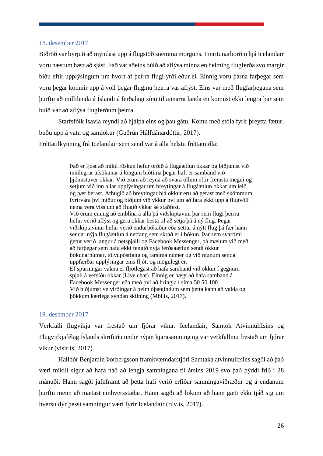#### 18. desember 2017

Biðröð var byrjuð að myndast upp á flugstöð snemma morguns. Innritunarborðin hjá Icelandair voru næstum hætt að sjást. Það var aðeins búið að aflýsa minna en helming flugferða svo margir biðu eftir upplýsingum um hvort af þeirra flugi yrði eður ei. Einnig voru þarna farþegar sem voru þegar komnir upp á völl þegar fluginu þeirra var aflýst. Eins var með flugfarþegana sem þurftu að millilenda á Íslandi á ferðalagi sínu til annarra landa en komust ekki lengra þar sem búið var að aflýsa flugferðum þeirra.

Starfsfólk Isavia reyndi að hjálpa eins og þau gátu. Komu með stóla fyrir þreytta fætur, buðu upp á vatn og samlokur (Guðrún Hálfdánardóttir, 2017). Fréttatilkynning frá Icelandair sem send var á alla helstu fréttamiðla:

> Það er ljóst að mikil röskun hefur orðið á flugáætlun okkar og biðjumst við innilegrar afsökunar á löngum biðtíma þegar haft er samband við þjónustuver okkar. Við erum að reyna að svara öllum eftir fremsta megni og setjum við inn allar upplýsingar um breytingar á flugáætlun okkar um leið og þær berast. Athugið að breytingar hjá okkur eru að gerast með skömmum fyrirvara því miður og biðjum við ykkur því um að fara ekki upp á flugvöll nema vera viss um að flugið ykkar sé staðfest. Við erum einnig að einblína á alla þá viðskiptavini þar sem flugi þeirra hefur verið aflýst og gera okkar besta til að setja þá á ný flug. Þegar viðskiptavinur hefur verið endurbókaður eða settur á nýtt flug þá fær hann sendar nýja flugáætlun á netfang sem skráð er í bókun. Þar sem svartími getur verið langur á netspjalli og Facebook Messenger, þá mælum við með að farþegar sem hafa ekki fengið nýja ferðaáætlun sendi okkur bókunarnúmer, tölvupóstfang og farsíma númer og við munum senda uppfærðar upplýsingar eins fljótt og mögulegt er. Ef spurningar vakna er fljótlegast að hafa samband við okkur í gegnum spjall á vefsíðu okkar (Live chat). Einnig er hægt að hafa samband á Facebook Messenger eða með því að hringja í síma 50 50 100. Við biðjumst velvirðingar á þeim óþægindum sem þetta kann að valda og þökkum kærlega sýndan skilning (Mbl.is, 2017).

#### 19. desember 2017

Verkfalli flugvikja var frestað um fjórar vikur. Icelandair, Samtök Atvinnulífsins og Flugvirkjafélag Íslands skrifuðu undir nýjan kjarasamning og var verkfallinu frestað um fjórar vikur (vísir.is, 2017).

Halldór Benjamín Þorbergsson framkvæmdarstjóri Samtaka atvinnulífsins sagði að það væri mikill sigur að hafa náð að lengja samningana til ársins 2019 svo það þýddi frið í 28 mánuði. Hann sagði jafnframt að þetta hafi verið erfiðar samningaviðræður og á endanum þurftu menn að mætast einhversstaðar. Hann sagði að lokum að hann gæti ekki tjáð sig um hversu dýr þessi samningur væri fyrir Icelandair (rúv.is, 2017).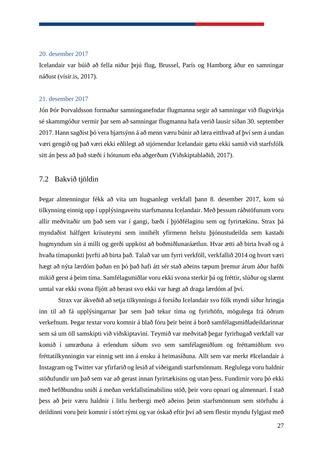#### 20. desember 2017

Icelandair var búið að fella niður þrjú flug, Brussel, París og Hamborg áður en samningar náðust (vísir.is, 2017).

#### 21. desember 2017

Jón Þór Þorvaldsson formaður samninganefndar flugmanna segir að samningar við flugvirkja sé skammgóður vermir þar sem að samningar flugmanna hafa verið lausir síðan 30. september 2017. Hann sagðist þó vera bjartsýnn á að menn væru búnir að læra eitthvað af því sem á undan væri gengið og það væri ekki eðlilegt að stjórnendur Icelandair gætu ekki samið við starfsfólk sitt án þess að það stæði í hótunum eða aðgerðum (Viðskiptablaðið, 2017).

#### <span id="page-36-0"></span>7.2 Bakvið tjöldin

Þegar almenningur fékk að vita um hugsanlegt verkfall þann 8. desember 2017, kom sú tilkynning einnig upp í upplýsingaveitu starfsmanna Icelandair. Með þessum ráðstöfunum voru allir meðvitaðir um það sem var í gangi, bæði í þjóðfélaginu sem og fyrirtækinu. Strax þá myndaðist hálfgert krísuteymi sem innihélt yfirmenn helstu þjónustudeilda sem kastaði hugmyndum sín á milli og gerði uppköst að boðmiðlunaráætlun. Hvar ætti að birta hvað og á hvaða tímapunkti þyrfti að birta það. Talað var um fyrri verkföll, verkfallið 2014 og hvort væri hægt að nýta lærdóm þaðan en þó það hafi átt sér stað aðeins tæpum þremur árum áður hafði mikið gerst á þeim tíma. Samfélagsmiðlar voru ekki svona sterkir þá og fréttir, slúður og slæmt umtal var ekki svona fljótt að berast svo ekki var hægt að draga lærdóm af því.

Strax var ákveðið að setja tilkynningu á forsíðu Icelandair svo fólk myndi síður hringja inn til að fá upplýsingarnar þar sem það tekur tíma og fyrirhöfn, mögulega frá öðrum verkefnum. Þegar textar voru komnir á blað fóru þeir beint á borð samfélagsmiðladeildarinnar sem sá um öll samskipti við viðskiptavini. Teymið var meðvitað þegar fyrirhugað verkfall var komið í umræðuna á erlendum síðum svo sem samfélagmiðlum og fréttamiðlum svo fréttatilkynningin var einnig sett inn á ensku á heimasíðuna. Allt sem var merkt #Icelandair á Instagram og Twitter var yfirfarið og lesið af viðeigandi starfsmönnum. Reglulega voru haldnir stöðufundir um það sem var að gerast innan fyrirtækisins og utan þess. Fundirnir voru þó ekki með hefðbundnu sniði á meðan verkfallstímabilinu stóð, þeir voru opnari og almennari. Í stað þess að þeir væru haldnir í litlu herbergi með aðeins þeim starfsmönnum sem störfuðu á deildinni voru þeir komnir í stórt rými og var óskað eftir því að sem flestir myndu fylgjast með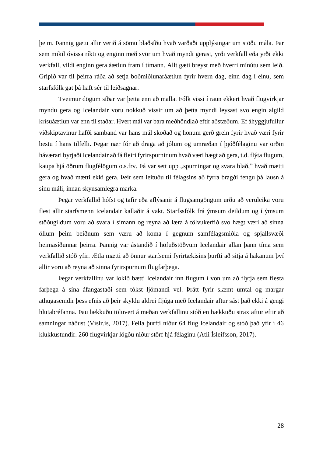þeim. Þannig gætu allir verið á sömu blaðsíðu hvað varðaði upplýsingar um stöðu mála. Þar sem mikil óvissa ríkti og enginn með svör um hvað myndi gerast, yrði verkfall eða yrði ekki verkfall, vildi enginn gera áætlun fram í tímann. Allt gæti breyst með hverri mínútu sem leið. Gripið var til þeirra ráða að setja boðmiðlunaráætlun fyrir hvern dag, einn dag í einu, sem starfsfólk gat þá haft sér til leiðsagnar.

Tveimur dögum síðar var þetta enn að malla. Fólk vissi í raun ekkert hvað flugvirkjar myndu gera og Icelandair voru nokkuð vissir um að þetta myndi leysast svo engin algild krísuáætlun var enn til staðar. Hvert mál var bara meðhöndlað eftir aðstæðum. Ef áhyggjufullur viðskiptavinur hafði samband var hans mál skoðað og honum gerð grein fyrir hvað væri fyrir bestu í hans tilfelli. Þegar nær fór að draga að jólum og umræðan í þjóðfélaginu var orðin háværari byrjaði Icelandair að fá fleiri fyrirspurnir um hvað væri hægt að gera, t.d. flýta flugum, kaupa hjá öðrum flugfélögum o.s.frv. Þá var sett upp "spurningar og svara blað," hvað mætti gera og hvað mætti ekki gera. Þeir sem leituðu til félagsins að fyrra bragði fengu þá lausn á sínu máli, innan skynsamlegra marka.

Þegar verkfallið hófst og tafir eða aflýsanir á flugsamgöngum urðu að veruleika voru flest allir starfsmenn Icelandair kallaðir á vakt. Starfssfólk frá ýmsum deildum og í ýmsum stöðugildum voru að svara í símann og reyna að læra á tölvukerfið svo hægt væri að sinna öllum þeim beiðnum sem væru að koma í gegnum samfélagsmiðla og spjallsvæði heimasíðunnar þeirra. Þannig var ástandið í höfuðstöðvum Icelandair allan þann tíma sem verkfallið stóð yfir. Ætla mætti að önnur starfsemi fyrirtækisins þurfti að sitja á hakanum því allir voru að reyna að sinna fyrirspurnum flugfarþega.

Þegar verkfallinu var lokið bætti Icelandair inn flugum í von um að flytja sem flesta farþega á sína áfangastaði sem tókst ljómandi vel. Þrátt fyrir slæmt umtal og margar athugasemdir þess efnis að þeir skyldu aldrei fljúga með Icelandair aftur sást það ekki á gengi hlutabréfanna. Þau lækkuðu töluvert á meðan verkfallinu stóð en hækkuðu strax aftur eftir að samningar náðust (Vísir.is, 2017). Fella þurfti niður 64 flug Icelandair og stóð það yfir í 46 klukkustundir. 260 flugvirkjar lögðu niður störf hjá félaginu (Atli Ísleifsson, 2017).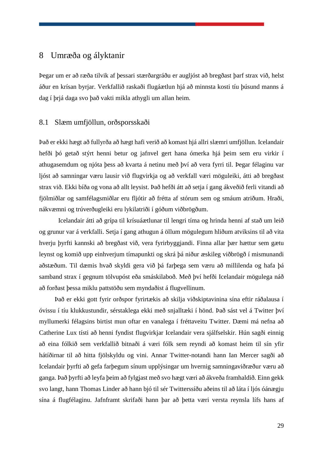# <span id="page-38-0"></span>8 Umræða og ályktanir

Þegar um er að ræða tilvik af þessari stærðargráðu er augljóst að bregðast þarf strax við, helst áður en krísan byrjar. Verkfallið raskaði flugáætlun hjá að minnsta kosti tíu þúsund manns á dag í þrjá daga svo það vakti mikla athygli um allan heim.

## <span id="page-38-1"></span>8.1 Slæm umfjöllun, orðsporsskaði

Það er ekki hægt að fullyrða að hægt hafi verið að komast hjá allri slæmri umfjöllun. Icelandair hefði þó getað stýrt henni betur og jafnvel gert hana ómerka hjá þeim sem eru virkir í athugasemdum og njóta þess að kvarta á netinu með því að vera fyrri til. Þegar félaginu var ljóst að samningar væru lausir við flugvirkja og að verkfall væri möguleiki, átti að bregðast strax við. Ekki bíða og vona að allt leysist. Það hefði átt að setja í gang ákveðið ferli vitandi að fjölmiðlar og samfélagsmiðlar eru fljótir að frétta af stórum sem og smáum atriðum. Hraði, nákvæmni og trúverðugleiki eru lykilatriði í góðum viðbrögðum.

Icelandair átti að grípa til krísuáætlunar til lengri tíma og hrinda henni af stað um leið og grunur var á verkfalli. Setja í gang athugun á öllum mögulegum hliðum atviksins til að vita hverju þyrfti kannski að bregðast við, vera fyrirbyggjandi. Finna allar þær hættur sem gætu leynst og komið upp einhverjum tímapunkti og skrá þá niður æskileg viðbrögð í mismunandi aðstæðum. Til dæmis hvað skyldi gera við þá farþega sem væru að millilenda og hafa þá samband strax í gegnum tölvupóst eða smáskilaboð. Með því hefði Icelandair mögulega náð að forðast þessa miklu pattstöðu sem myndaðist á flugvellinum.

Það er ekki gott fyrir orðspor fyrirtækis að skilja viðskiptavinina sína eftir ráðalausa í óvissu í tíu klukkustundir, sérstaklega ekki með snjalltæki í hönd. Það sást vel á Twitter því myllumerki félagsins birtist mun oftar en vanalega í fréttaveitu Twitter. Dæmi má nefna að Catherine Lux tísti að henni fyndist flugvirkjar Icelandair vera sjálfselskir. Hún sagði einnig að eina fólkið sem verkfallið bitnaði á væri fólk sem reyndi að komast heim til sín yfir hátíðirnar til að hitta fjölskyldu og vini. Annar Twitter-notandi hann Ian Mercer sagði að Icelandair þyrfti að gefa farþegum sínum upplýsingar um hvernig samningaviðræður væru að ganga. Það þyrfti að leyfa þeim að fylgjast með svo hægt væri að ákveða framhaldið. Einn gekk svo langt, hann Thomas Linder að hann bjó til sér Twitterssíðu aðeins til að láta í ljós óánægju sína á flugfélaginu. Jafnframt skrifaði hann þar að þetta væri versta reynsla lífs hans af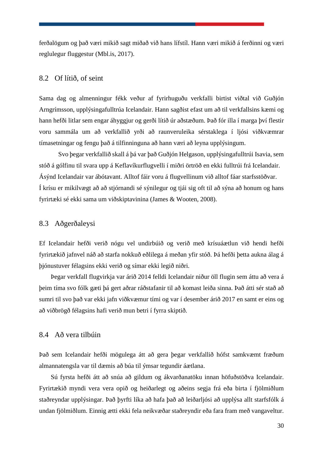ferðalögum og það væri mikið sagt miðað við hans lífstíl. Hann væri mikið á ferðinni og væri reglulegur fluggestur (Mbl.is, 2017).

#### <span id="page-39-0"></span>8.2 Of lítið, of seint

Sama dag og almenningur fékk veður af fyrirhuguðu verkfalli birtist viðtal við Guðjón Arngrímsson, upplýsingafulltrúa Icelandair. Hann sagðist efast um að til verkfallsins kæmi og hann hefði litlar sem engar áhyggjur og gerði lítið úr aðstæðum. Það fór illa í marga því flestir voru sammála um að verkfallið yrði að raunveruleika sérstaklega í ljósi viðkvæmrar tímasetningar og fengu það á tilfinninguna að hann væri að leyna upplýsingum.

Svo þegar verkfallið skall á þá var það Guðjón Helgason, upplýsingafulltrúi Isavia, sem stóð á gólfinu til svara upp á Keflavíkurflugvelli í miðri örtröð en ekki fulltrúi frá Icelandair. Ásýnd Icelandair var ábótavant. Alltof fáir voru á flugvellinum við alltof fáar starfsstöðvar. Í krísu er mikilvægt að að stjórnandi sé sýnilegur og tjái sig oft til að sýna að honum og hans fyrirtæki sé ekki sama um viðskiptavinina (James & Wooten, 2008).

#### <span id="page-39-1"></span>8.3 Aðgerðaleysi

Ef Icelandair hefði verið nógu vel undirbúið og verið með krísuáætlun við hendi hefði fyrirtækið jafnvel náð að starfa nokkuð eðlilega á meðan yfir stóð. Þá hefði þetta aukna álag á þjónustuver félagsins ekki verið og símar ekki legið niðri.

Þegar verkfall flugvirkja var árið 2014 felldi Icelandair niður öll flugin sem áttu að vera á þeim tíma svo fólk gæti þá gert aðrar ráðstafanir til að komast leiða sinna. Það átti sér stað að sumri til svo það var ekki jafn viðkvæmur tími og var í desember árið 2017 en samt er eins og að viðbrögð félagsins hafi verið mun betri í fyrra skiptið.

## <span id="page-39-2"></span>8.4 Að vera tilbúin

Það sem Icelandair hefði mögulega átt að gera þegar verkfallið hófst samkvæmt fræðum almannatengsla var til dæmis að búa til ýmsar tegundir áætlana.

Sú fyrsta hefði átt að snúa að gildum og ákvarðanatöku innan höfuðstöðva Icelandair. Fyrirtækið myndi vera vera opið og heiðarlegt og aðeins segja frá eða birta í fjölmiðlum staðreyndar upplýsingar. Það þyrfti líka að hafa það að leiðarljósi að upplýsa allt starfsfólk á undan fjölmiðlum. Einnig ætti ekki fela neikvæðar staðreyndir eða fara fram með vangaveltur.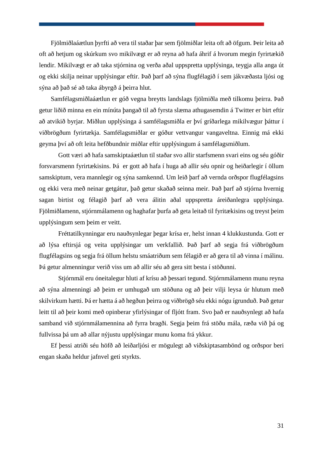Fjölmiðlaáætlun þyrfti að vera til staðar þar sem fjölmiðlar leita oft að öfgum. Þeir leita að oft að hetjum og skúrkum svo mikilvægt er að reyna að hafa áhrif á hvorum megin fyrirtækið lendir. Mikilvægt er að taka stjórnina og verða aðal uppspretta upplýsinga, teygja alla anga út og ekki skilja neinar upplýsingar eftir. Það þarf að sýna flugfélagið í sem jákvæðasta ljósi og sýna að það sé að taka ábyrgð á þeirra hlut.

Samfélagsmiðlaáætlun er góð vegna breytts landslags fjölmiðla með tilkomu þeirra. Það getur liðið minna en ein mínúta þangað til að fyrsta slæma athugasemdin á Twitter er birt eftir að atvikið byrjar. Miðlun upplýsinga á samfélagsmiðla er því gríðarlega mikilvægur þáttur í viðbrögðum fyrirtækja. Samfélagsmiðlar er góður vettvangur vangaveltna. Einnig má ekki geyma því að oft leita hefðbundnir miðlar eftir upplýsingum á samfélagsmiðlum.

Gott væri að hafa samskiptaáætlun til staðar svo allir starfsmenn svari eins og séu góðir forsvarsmenn fyrirtækisins. Þá er gott að hafa í huga að allir séu opnir og heiðarlegir í öllum samskiptum, vera mannlegir og sýna samkennd. Um leið þarf að vernda orðspor flugfélagsins og ekki vera með neinar getgátur, það getur skaðað seinna meir. Það þarf að stjórna hvernig sagan birtist og félagið þarf að vera álitin aðal uppspretta áreiðanlegra upplýsinga. Fjölmiðlamenn, stjórnmálamenn og haghafar þurfa að geta leitað til fyritækisins og treyst þeim upplýsingum sem þeim er veitt.

Fréttatilkynningar eru nauðsynlegar þegar krísa er, helst innan 4 klukkustunda. Gott er að lýsa eftirsjá og veita upplýsingar um verkfallið. Það þarf að segja frá viðbrögðum flugfélagsins og segja frá öllum helstu smáatriðum sem félagið er að gera til að vinna í málinu. Þá getur almenningur verið viss um að allir séu að gera sitt besta í stöðunni.

Stjórnmál eru óneitalegur hluti af krísu að þessari tegund. Stjórnmálamenn munu reyna að sýna almenningi að þeim er umhugað um stöðuna og að þeir vilji leysa úr hlutum með skilvirkum hætti. Þá er hætta á að hegðun þeirra og viðbrögð séu ekki nógu ígrunduð. Það getur leitt til að þeir komi með opinberar yfirlýsingar of fljótt fram. Svo það er nauðsynlegt að hafa samband við stjórnmálamennina að fyrra bragði. Segja þeim frá stöðu mála, ræða við þá og fullvissa þá um að allar nýjustu upplýsingar munu koma frá ykkur.

Ef þessi atriði séu höfð að leiðarljósi er mögulegt að viðskiptasambönd og orðspor beri engan skaða heldur jafnvel geti styrkts.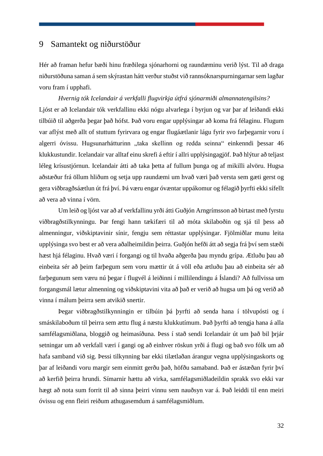# <span id="page-41-0"></span>9 Samantekt og niðurstöður

Hér að framan hefur bæði hinu fræðilega sjónarhorni og raundæminu verið lýst. Til að draga niðurstöðuna saman á sem skýrastan hátt verður stuðst við rannsóknarspurningarnar sem lagðar voru fram í upphafi.

*Hvernig tók Icelandair á verkfalli flugvirkja útfrá sjónarmiði almannatengilsins?* Ljóst er að Icelandair tók verkfallinu ekki nógu alvarlega í byrjun og var þar af leiðandi ekki tilbúið til aðgerða þegar það hófst. Það voru engar upplýsingar að koma frá félaginu. Flugum var aflýst með allt of stuttum fyrirvara og engar flugáætlanir lágu fyrir svo farþegarnir voru í algerri óvissu. Hugsunarhátturinn "taka skellinn og redda seinna" einkenndi þessar 46 klukkustundir. Icelandair var alltaf einu skrefi á eftir í allri upplýsingagjöf. Það hlýtur að teljast léleg krísustjórnun. Icelandair átti að taka þetta af fullum þunga og af mikilli alvöru. Hugsa aðstæður frá öllum hliðum og setja upp raundæmi um hvað væri það versta sem gæti gerst og gera viðbragðsáætlun út frá því. Þá væru engar óvæntar uppákomur og félagið þyrfti ekki sífellt að vera að vinna í vörn.

Um leið og ljóst var að af verkfallinu yrði átti Guðjón Arngrímsson að birtast með fyrstu viðbragðstilkynningu. Þar fengi hann tækifæri til að móta skilaboðin og sjá til þess að almenningur, viðskiptavinir sínir, fengju sem réttastar upplýsingar. Fjölmiðlar munu leita upplýsinga svo best er að vera aðalheimildin þeirra. Guðjón hefði átt að segja frá því sem stæði hæst hjá félaginu. Hvað væri í forgangi og til hvaða aðgerða þau myndu grípa. Ætluðu þau að einbeita sér að þeim farþegum sem voru mættir út á völl eða ætluðu þau að einbeita sér að farþegunum sem væru nú þegar í flugvél á leiðinni í millilendingu á Íslandi? Að fullvissa um forgangsmál lætur almenning og viðskiptavini vita að það er verið að hugsa um þá og verið að vinna í málum þeirra sem atvikið snertir.

Þegar viðbragðstilkynningin er tilbúin þá þyrfti að senda hana í tölvupósti og í smáskilaboðum til þeirra sem ættu flug á næstu klukkutímum. Það þyrfti að tengja hana á alla samfélagsmiðlana, bloggið og heimasíðuna. Þess í stað sendi Icelandair út um það bil þrjár setningar um að verkfall væri í gangi og að einhver röskun yrði á flugi og bað svo fólk um að hafa samband við sig. Þessi tilkynning bar ekki tilætlaðan árangur vegna upplýsingaskorts og þar af leiðandi voru margir sem einmitt gerðu það, höfðu samaband. Það er ástæðan fyrir því að kerfið þeirra hrundi. Símarnir hættu að virka, samfélagsmiðladeildin sprakk svo ekki var hægt að nota sum forrit til að sinna þeirri vinnu sem nauðsyn var á. Það leiddi til enn meiri óvissu og enn fleiri reiðum athugasemdum á samfélagsmiðlum.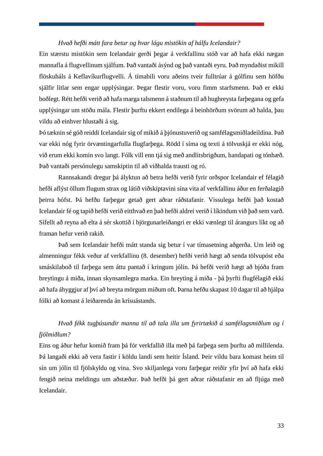#### *Hvað hefði mátt fara betur og hvar lágu mistökin af hálfu Icelandair?*

Ein stærstu mistökin sem Icelandair gerði þegar á verkfallinu stóð var að hafa ekki nægan mannafla á flugvellinum sjálfum. Það vantaði ásýnd og það vantaði eyru. Það myndaðist mikill flöskuháls á Keflavíkurflugvelli. Á tímabili voru aðeins tveir fulltrúar á gólfinu sem höfðu sjálfir litlar sem engar upplýsingar. Þegar flestir voru, voru fimm starfsmenn. Það er ekki boðlegt. Rétt hefði verið að hafa marga talsmenn á staðnum til að hughreysta farþegana og gefa upplýsingar um stöðu mála. Flestir þurftu ekkert endilega á beinhörðum svörum að halda, þau vildu að einhver hlustaði á sig.

Þó tæknin sé góð reiddi Icelandair sig of mikið á þjónustuverið og samfélagsmiðladeildina. Það var ekki nóg fyrir örvæntingarfulla flugfarþega. Rödd í síma og texti á tölvuskjá er ekki nóg, við erum ekki komin svo langt. Fólk vill enn tjá sig með andlitsbrigðum, handapati og tónhæð. Það vantaði persónulegu samskiptin til að viðhalda trausti og ró.

Rannsakandi dregur þá ályktun að betra hefði verið fyrir orðspor Icelandair ef félagið hefði aflýst öllum flugum strax og látið viðskiptavini sína vita af verkfallinu áður en ferðalagið þeirra hófst. Þá hefðu farþegar getað gert aðrar ráðstafanir. Vissulega hefði það kostað Icelandair fé og tapið hefði verið eitthvað en það hefði aldrei verið í líkindum við það sem varð. Sífellt að reyna að elta á sér skottið í björgunarleiðangri er ekki vænlegt til árangurs líkt og að framan hefur verið rakið.

Það sem Icelandair hefði mátt standa sig betur í var tímasetning aðgerða. Um leið og almenningur fékk veður af verkfallinu (8. desember) hefði verið hægt að senda tölvupóst eða smáskilaboð til farþega sem áttu pantað í kringum jólin. Þá hefði verið hægt að bjóða fram breytingu á miða, innan skynsamlegra marka. Ein breyting á miða - þá þyrfti flugfélagið ekki að hafa áhyggjur af því að breyta mörgum miðum oft. Þarna hefðu skapast 10 dagar til að hjálpa fólki að komast á leiðarenda án krísuástands.

# *Hvað fékk tugþúsundir manna til að tala illa um fyrirtækið á samfélagsmiðlum og í fjölmiðlum?*

Eins og áður hefur komið fram þá fór verkfallið illa með þá farþega sem þurftu að millilenda. Þá langaði ekki að vera fastir í köldu landi sem heitir Ísland. Þeir vildu bara komast heim til sín um jólin til fjölskyldu og vina. Svo skiljanlega voru farþegar reiðir yfir því að hafa ekki fengið neina meldingu um aðstæður. Það hefði þá gert aðrar ráðstafanir en að fljúga með Icelandair.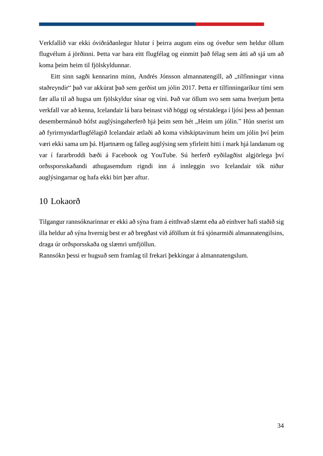Verkfallið var ekki óviðráðanlegur hlutur í þeirra augum eins og óveður sem heldur öllum flugvélum á jörðinni. Þetta var bara eitt flugfélag og einmitt það félag sem átti að sjá um að koma þeim heim til fjölskyldunnar.

Eitt sinn sagði kennarinn minn, Andrés Jónsson almannatengill, að "tilfinningar vinna staðreyndir" það var akkúrat það sem gerðist um jólin 2017. Þetta er tilfinningaríkur tími sem fær alla til að hugsa um fjölskyldur sínar og vini. Það var öllum svo sem sama hverjum þetta verkfall var að kenna, Icelandair lá bara beinast við höggi og sérstaklega í ljósi þess að þennan desembermánuð hófst auglýsingaherferð hjá þeim sem hét "Heim um jólin." Hún snerist um að fyrirmyndarflugfélagið Icelandair ætlaði að koma viðskiptavinum heim um jólin því þeim væri ekki sama um þá. Hjartnæm og falleg auglýsing sem yfirleitt hitti í mark hjá landanum og var í fararbroddi bæði á Facebook og YouTube. Sú herferð eyðilagðist algjörlega því orðssporsskaðandi athugasemdum rigndi inn á innleggin svo Icelandair tók niður auglýsingarnar og hafa ekki birt þær aftur.

# <span id="page-43-0"></span>10 Lokaorð

Tilgangur rannsóknarinnar er ekki að sýna fram á eitthvað slæmt eða að einhver hafi staðið sig illa heldur að sýna hvernig best er að bregðast við áföllum út frá sjónarmiði almannatengilsins, draga úr orðsporsskaða og slæmri umfjöllun.

Rannsókn þessi er hugsuð sem framlag til frekari þekkingar á almannatengslum.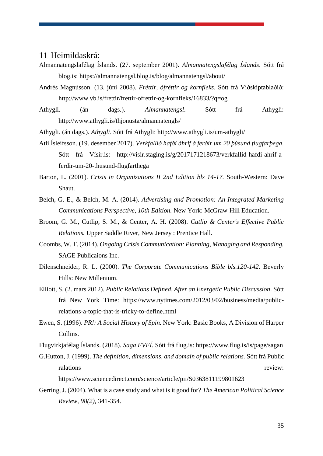## <span id="page-44-0"></span>11 Heimildaskrá:

- Almannatengslafélag Íslands. (27. september 2001). *Almannatengslafélag Íslands*. Sótt frá blog.is: https://almannatengsl.blog.is/blog/almannatengsl/about/
- Andrés Magnússon. (13. júni 2008). *Fréttir, ófréttir og kornfleks*. Sótt frá Viðskiptablaðið: http://www.vb.is/frettir/frettir-ofrettir-og-kornfleks/16833/?q=og
- Athygli. (án dags.). *Almannatengsl*. Sótt frá Athygli: http://www.athygli.is/thjonusta/almannatengls/
- Athygli. (án dags.). *Athygli*. Sótt frá Athygli: http://www.athygli.is/um-athygli/
- Atli Ísleifsson. (19. desember 2017). *Verkfallið hafði áhrif á ferðir um 20 þúsund flugfarþega*. Sótt frá Vísir.is: http://visir.staging.is/g/2017171218673/verkfallid-hafdi-ahrif-aferdir-um-20-thusund-flugfarthega
- Barton, L. (2001). *Crisis in Organizations II 2nd Edition bls 14-17.* South-Western: Dave Shaut.
- Belch, G. E., & Belch, M. A. (2014). *Advertising and Promotion: An Integrated Marketing Communications Perspective, 10th Edition.* New York: McGraw-Hill Education.
- Broom, G. M., Cutlip, S. M., & Center, A. H. (2008). *Cutlip & Center's Effective Public Relations.* Upper Saddle River, New Jersey : Prentice Hall.
- Coombs, W. T. (2014). *Ongoing Crisis Communication: Planning, Managing and Responding.* SAGE Publicaions Inc.
- Dilenschneider, R. L. (2000). *The Corporate Communications Bible bls.120-142.* Beverly Hills: New Millenium.
- Elliott, S. (2. mars 2012). *Public Relations Defined, After an Energetic Public Discussion*. Sótt frá New York Time: https://www.nytimes.com/2012/03/02/business/media/publicrelations-a-topic-that-is-tricky-to-define.html
- Ewen, S. (1996). *PR!: A Social History of Spin.* New York: Basic Books, A Division of Harper Collins.
- Flugvirkjafélag Íslands. (2018). *Saga FVFÍ*. Sótt frá flug.is: https://www.flug.is/is/page/sagan

G.Hutton, J. (1999). *The definition, dimensions, and domain of public relations.* Sótt frá Public ralations review:

https://www.sciencedirect.com/science/article/pii/S0363811199801623

Gerring, J. (2004). What is a case study and what is it good for? *The American Political Science Review, 98(2)*, 341-354.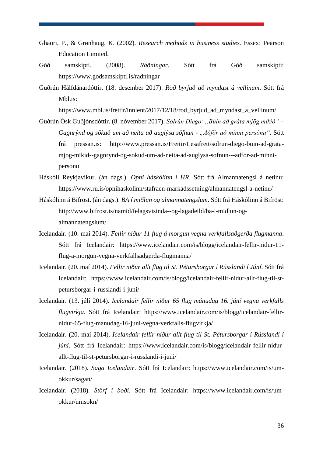- Ghauri, P., & Grønhaug, K. (2002). *Research methods in business studies.* Essex: Pearson Education Limited.
- Góð samskipti. (2008). *Ráðningar*. Sótt frá Góð samskipti: https://www.godsamskipti.is/radningar
- Guðrún Hálfdánardóttir. (18. desember 2017). *Röð byrjuð að myndast á vellinum*. Sótt frá Mbl.is:

https://www.mbl.is/frettir/innlent/2017/12/18/rod\_byrjud\_ad\_myndast\_a\_vellinum/

- Guðrún Ósk Guðjónsdóttir. (8. nóvember 2017). *Sólrún Diego: "Búin að gráta mjög mikið" Gagnrýnd og sökuð um að neita að auglýsa söfnun - "Aðför að minni persónu"*. Sótt frá pressan.is: http://www.pressan.is/Frettir/Lesafrett/solrun-diego-buin-ad-gratamjog-mikid--gagnrynd-og-sokud-um-ad-neita-ad-auglysa-sofnun---adfor-ad-minnipersonu
- Háskóli Reykjavíkur. (án dags.). *Opni háskólinn í HR*. Sótt frá Almannatengsl á netinu: https://www.ru.is/opnihaskolinn/stafraen-markadssetning/almannatengsl-a-netinu/
- Háskólinn á Bifröst. (án dags.). *BA í miðlun og almannatengslum*. Sótt frá Háskólinn á Bifröst: http://www.bifrost.is/namid/felagsvisinda--og-lagadeild/ba-i-midlun-ogalmannatengslum/
- Icelandair. (10. maí 2014). *Fellir niður 11 flug á morgun vegna verkfallsaðgerða flugmanna*. Sótt frá Icelandair: https://www.icelandair.com/is/blogg/icelandair-fellir-nidur-11 flug-a-morgun-vegna-verkfallsadgerda-flugmanna/
- Icelandair. (20. maí 2014). *Fellir niður allt flug til St. Pétursborgar í Rússlandi í Júní*. Sótt frá Icelandair: https://www.icelandair.com/is/blogg/icelandair-fellir-nidur-allt-flug-til-stpetursborgar-i-russlandi-i-juni/
- Icelandair. (13. júlí 2014). *Icelandair fellir niður 65 flug mánudag 16. júní vegna verkfalls flugvirkja*. Sótt frá Icelandair: https://www.icelandair.com/is/blogg/icelandair-fellirnidur-65-flug-manudag-16-juni-vegna-verkfalls-flugvirkja/
- Icelandair. (20. maí 2014). *Icelandair fellir niður allt flug til St. Pétursborgar í Rússlandi í júní*. Sótt frá Icelandair: https://www.icelandair.com/is/blogg/icelandair-fellir-nidurallt-flug-til-st-petursborgar-i-russlandi-i-juni/
- Icelandair. (2018). *Saga Icelandair*. Sótt frá Icelandair: https://www.icelandair.com/is/umokkur/sagan/
- Icelandair. (2018). *Störf í boði*. Sótt frá Icelandair: https://www.icelandair.com/is/umokkur/umsokn/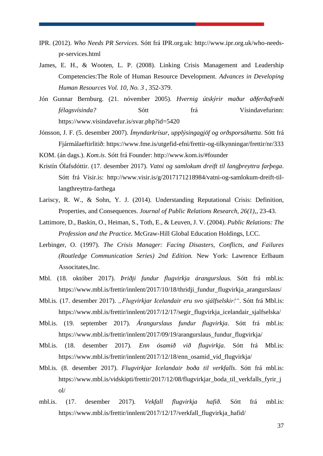- IPR. (2012). *Who Needs PR Services*. Sótt frá IPR.org.uk: http://www.ipr.org.uk/who-needspr-services.html
- James, E. H., & Wooten, L. P. (2008). Linking Crisis Management and Leadership Competencies:The Role of Human Resource Development. *Advances in Developing Human Resources Vol. 10, No. 3* , 352-379.
- Jón Gunnar Bernburg. (21. nóvember 2005). *Hvernig útskýrir maður aðferðafræði félagsvísinda?* Sótt frá Vísindavefurinn: https://www.visindavefur.is/svar.php?id=5420
- Jónsson, J. F. (5. desember 2007). *Ímyndarkrísur, upplýsingagjöf og orðsporsáhætta*. Sótt frá Fjármálaeftirlitið: https://www.fme.is/utgefid-efni/frettir-og-tilkynningar/frettir/nr/333
- KOM. (án dags.). *Kom.is*. Sótt frá Founder: http://www.kom.is/#founder
- Kristín Ólafsdóttir. (17. desember 2017). *Vatni og samlokum dreift til langþreyttra farþega*. Sótt frá Vísir.is: http://www.visir.is/g/2017171218984/vatni-og-samlokum-dreift-tillangthreyttra-farthega
- Lariscy, R. W., & Sohn, Y. J. (2014). Understanding Reputational Crisis: Definition, Properties, and Consequences. *Journal of Public Relations Research, 26(1),*, 23-43.
- Lattimore, D., Baskin, O., Heiman, S., Toth, E., & Leuven, J. V. (2004). *Public Relations: The Profession and the Practice.* McGraw-Hill Global Education Holdings, LCC.
- Lerbinger, O. (1997). *The Crisis Manager: Facing Disasters, Conflicts, and Failures (Routledge Communication Series) 2nd Edition.* New York: Lawrence Erlbaum Associtates,Inc.
- Mbl. (18. október 2017). *Þriðji fundur flugvirkja árangurslaus.* Sótt frá mbl.is: https://www.mbl.is/frettir/innlent/2017/10/18/thridji fundur flugvirkja arangurslaus/
- Mbl.is. (17. desember 2017). "*Flugvirkjar Icelandair eru svo sjálfselskir!"*. Sótt frá Mbl.is: https://www.mbl.is/frettir/innlent/2017/12/17/segir\_flugvirkja\_icelandair\_sjalfselska/
- Mbl.is. (19. september 2017). *Árangurslaus fundur flugvirkja*. Sótt frá mbl.is: https://www.mbl.is/frettir/innlent/2017/09/19/arangurslaus\_fundur\_flugvirkja/
- Mbl.is. (18. desember 2017). *Enn ósamið við flugvirkja*. Sótt frá Mbl.is: https://www.mbl.is/frettir/innlent/2017/12/18/enn\_osamid\_vid\_flugvirkja/
- Mbl.is. (8. desember 2017). *Flugvirkjar Icelandair boða til verkfalls*. Sótt frá mbl.is: https://www.mbl.is/vidskipti/frettir/2017/12/08/flugvirkjar\_boda\_til\_verkfalls\_fyrir\_j ol/
- mbl.is. (17. desember 2017). *Vekfall flugvirkja hafið*. Sótt frá mbl.is: https://www.mbl.is/frettir/innlent/2017/12/17/verkfall\_flugvirkja\_hafid/

37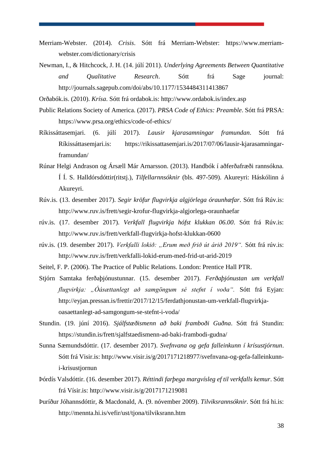- Merriam-Webster. (2014). *Crisis*. Sótt frá Merriam-Webster: https://www.merriamwebster.com/dictionary/crisis
- Newman, I., & Hitchcock, J. H. (14. júlí 2011). *Underlying Agreements Between Quantitative and Qualitative Research*. Sótt frá Sage journal: http://journals.sagepub.com/doi/abs/10.1177/1534484311413867

Orðabók.is. (2010). *Krísa*. Sótt frá ordabok.is: http://www.ordabok.is/index.asp

- Public Relations Society of America. (2017). *PRSA Code of Ethics: Preamble*. Sótt frá PRSA: https://www.prsa.org/ethics/code-of-ethics/
- Ríkissáttasemjari. (6. júlí 2017). *Lausir kjarasamningar framundan*. Sótt frá Ríkissáttasemjari.is: https://rikissattasemjari.is/2017/07/06/lausir-kjarasamningarframundan/
- Rúnar Helgi Andrason og Ársæll Már Arnarsson. (2013). Handbók í aðferðafræði rannsókna. Í Í. S. Halldórsdóttir(ritstj.), *Tilfellarnnsóknir* (bls. 497-509). Akureyri: Háskólinn á Akureyri.
- Rúv.is. (13. desember 2017). *Segir kröfur flugvirkja algjörlega óraunhæfar*. Sótt frá Rúv.is: http://www.ruv.is/frett/segir-krofur-flugvirkja-algjorlega-oraunhaefar
- rúv.is. (17. desember 2017). *Verkfall flugvirkja hófst klukkan 06.00*. Sótt frá Rúv.is: http://www.ruv.is/frett/verkfall-flugvirkja-hofst-klukkan-0600
- rúv.is. (19. desember 2017). *Verkfalli lokið: "Erum með frið út árið 2019".* Sótt frá rúv.is: http://www.ruv.is/frett/verkfalli-lokid-erum-med-frid-ut-arid-2019
- Seitel, F. P. (2006). The Practice of Public Relations. London: Prentice Hall PTR.
- Stjórn Samtaka ferðaþjónustunnar. (15. desember 2017). *Ferðaþjónustan um verkfall flugvirkja: "Óásættanlegt að samgöngum sé stefnt í voða".* Sótt frá Eyjan: http://eyjan.pressan.is/frettir/2017/12/15/ferdathjonustan-um-verkfall-flugvirkjaoasaettanlegt-ad-samgongum-se-stefnt-i-voda/
- Stundin. (19. júní 2016). *Sjálfstæðismenn að baki framboði Guðna*. Sótt frá Stundin: https://stundin.is/frett/sjalfstaedismenn-ad-baki-frambodi-gudna/
- Sunna Sæmundsdóttir. (17. desember 2017). *Svefnvana og gefa falleinkunn í krísustjórnun*. Sótt frá Visir.is: http://www.visir.is/g/2017171218977/svefnvana-og-gefa-falleinkunni-krisustjornun
- Þórdís Valsdóttir. (16. desember 2017). *Réttindi farþega margvísleg ef til verkfalls kemur*. Sótt frá Vísir.is: http://www.visir.is/g/2017171219081
- Þuríður Jóhannsdóttir, & Macdonald, A. (9. nóvember 2009). *Tilviksrannsóknir*. Sótt frá hi.is: http://mennta.hi.is/vefir/ust/tjona/tilviksrann.htm